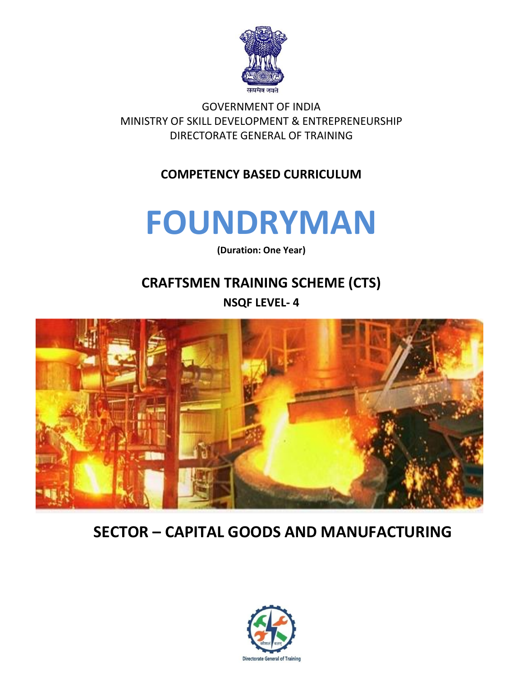

GOVERNMENT OF INDIA MINISTRY OF SKILL DEVELOPMENT & ENTREPRENEURSHIP DIRECTORATE GENERAL OF TRAINING

#### **COMPETENCY BASED CURRICULUM**

## **FOUNDRYMAN**

**(Duration: One Year)**

## **CRAFTSMEN TRAINING SCHEME (CTS) NSQF LEVEL- 4**



## **SECTOR – CAPITAL GOODS AND MANUFACTURING**

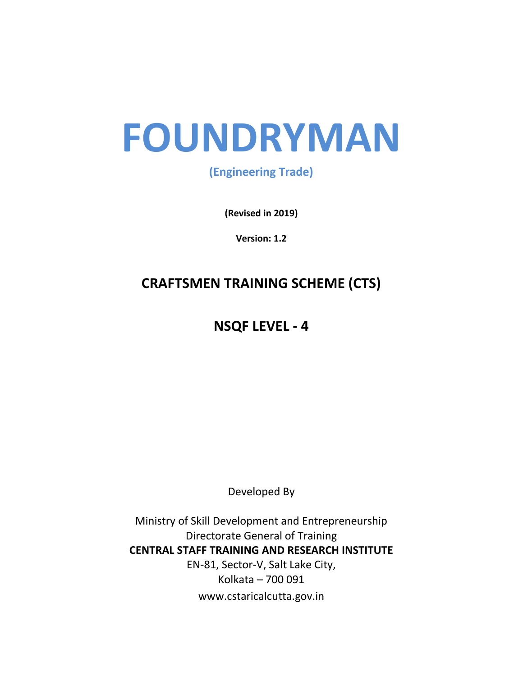# **FOUNDRYMAN**

#### **(Engineering Trade)**

**(Revised in 2019)**

**Version: 1.2**

### **CRAFTSMEN TRAINING SCHEME (CTS)**

## **NSQF LEVEL - 4**

Developed By

Ministry of Skill Development and Entrepreneurship Directorate General of Training **CENTRAL STAFF TRAINING AND RESEARCH INSTITUTE** EN-81, Sector-V, Salt Lake City, Kolkata – 700 091 www.cstaricalcutta.gov.in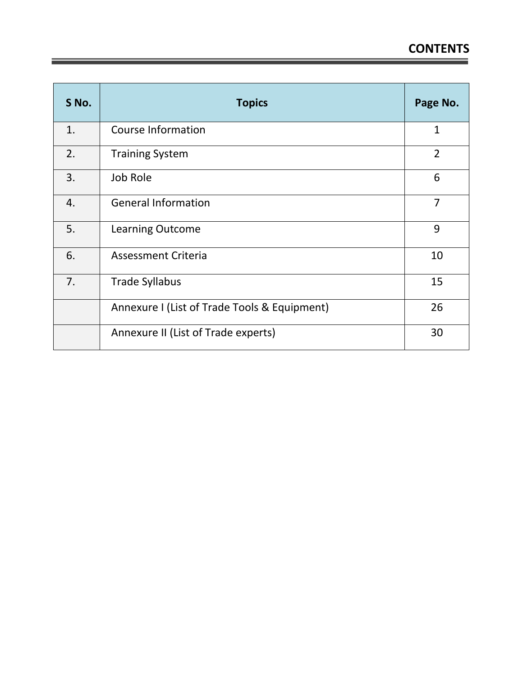| S No. | <b>Topics</b>                                | Page No.       |
|-------|----------------------------------------------|----------------|
| 1.    | <b>Course Information</b>                    | $\mathbf{1}$   |
| 2.    | <b>Training System</b>                       | $\overline{2}$ |
| 3.    | Job Role                                     | 6              |
| 4.    | <b>General Information</b>                   | 7              |
| 5.    | <b>Learning Outcome</b>                      | 9              |
| 6.    | Assessment Criteria                          | 10             |
| 7.    | <b>Trade Syllabus</b>                        | 15             |
|       | Annexure I (List of Trade Tools & Equipment) | 26             |
|       | Annexure II (List of Trade experts)          | 30             |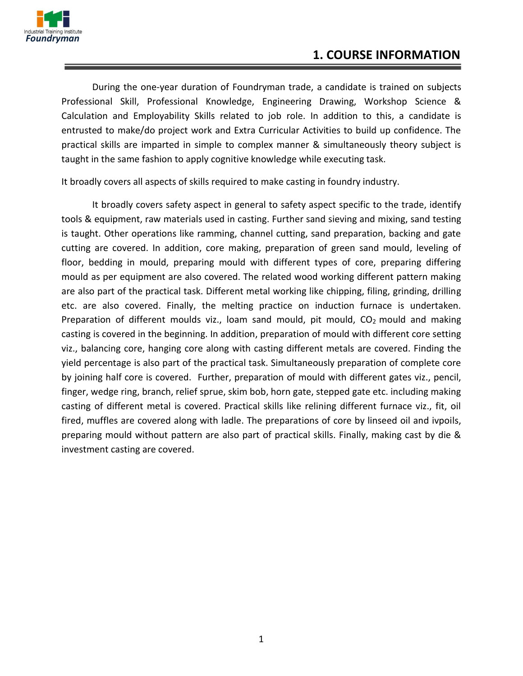

#### **1. COURSE INFORMATION**

During the one-year duration of Foundryman trade, a candidate is trained on subjects Professional Skill, Professional Knowledge, Engineering Drawing, Workshop Science & Calculation and Employability Skills related to job role. In addition to this, a candidate is entrusted to make/do project work and Extra Curricular Activities to build up confidence. The practical skills are imparted in simple to complex manner & simultaneously theory subject is taught in the same fashion to apply cognitive knowledge while executing task.

It broadly covers all aspects of skills required to make casting in foundry industry.

It broadly covers safety aspect in general to safety aspect specific to the trade, identify tools & equipment, raw materials used in casting. Further sand sieving and mixing, sand testing is taught. Other operations like ramming, channel cutting, sand preparation, backing and gate cutting are covered. In addition, core making, preparation of green sand mould, leveling of floor, bedding in mould, preparing mould with different types of core, preparing differing mould as per equipment are also covered. The related wood working different pattern making are also part of the practical task. Different metal working like chipping, filing, grinding, drilling etc. are also covered. Finally, the melting practice on induction furnace is undertaken. Preparation of different moulds viz., loam sand mould, pit mould,  $CO<sub>2</sub>$  mould and making casting is covered in the beginning. In addition, preparation of mould with different core setting viz., balancing core, hanging core along with casting different metals are covered. Finding the yield percentage is also part of the practical task. Simultaneously preparation of complete core by joining half core is covered. Further, preparation of mould with different gates viz., pencil, finger, wedge ring, branch, relief sprue, skim bob, horn gate, stepped gate etc. including making casting of different metal is covered. Practical skills like relining different furnace viz., fit, oil fired, muffles are covered along with ladle. The preparations of core by linseed oil and ivpoils, preparing mould without pattern are also part of practical skills. Finally, making cast by die & investment casting are covered.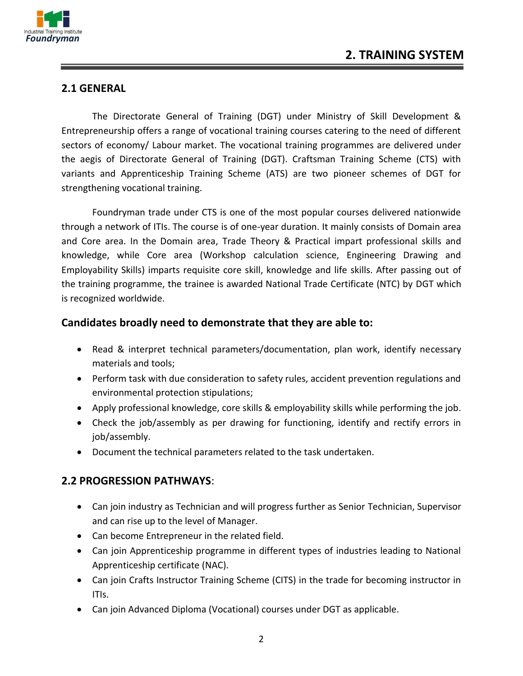

#### **2.1 GENERAL**

The Directorate General of Training (DGT) under Ministry of Skill Development & Entrepreneurship offers a range of vocational training courses catering to the need of different sectors of economy/ Labour market. The vocational training programmes are delivered under the aegis of Directorate General of Training (DGT). Craftsman Training Scheme (CTS) with variants and Apprenticeship Training Scheme (ATS) are two pioneer schemes of DGT for strengthening vocational training.

Foundryman trade under CTS is one of the most popular courses delivered nationwide through a network of ITIs. The course is of one-year duration. It mainly consists of Domain area and Core area. In the Domain area, Trade Theory & Practical impart professional skills and knowledge, while Core area (Workshop calculation science, Engineering Drawing and Employability Skills) imparts requisite core skill, knowledge and life skills. After passing out of the training programme, the trainee is awarded National Trade Certificate (NTC) by DGT which is recognized worldwide.

#### **Candidates broadly need to demonstrate that they are able to:**

- Read & interpret technical parameters/documentation, plan work, identify necessary materials and tools;
- Perform task with due consideration to safety rules, accident prevention regulations and environmental protection stipulations;
- Apply professional knowledge, core skills & employability skills while performing the job.
- Check the job/assembly as per drawing for functioning, identify and rectify errors in job/assembly.
- Document the technical parameters related to the task undertaken.

#### **2.2 PROGRESSION PATHWAYS**:

- Can join industry as Technician and will progress further as Senior Technician, Supervisor and can rise up to the level of Manager.
- Can become Entrepreneur in the related field.
- Can join Apprenticeship programme in different types of industries leading to National Apprenticeship certificate (NAC).
- Can join Crafts Instructor Training Scheme (CITS) in the trade for becoming instructor in ITIs.
- Can join Advanced Diploma (Vocational) courses under DGT as applicable.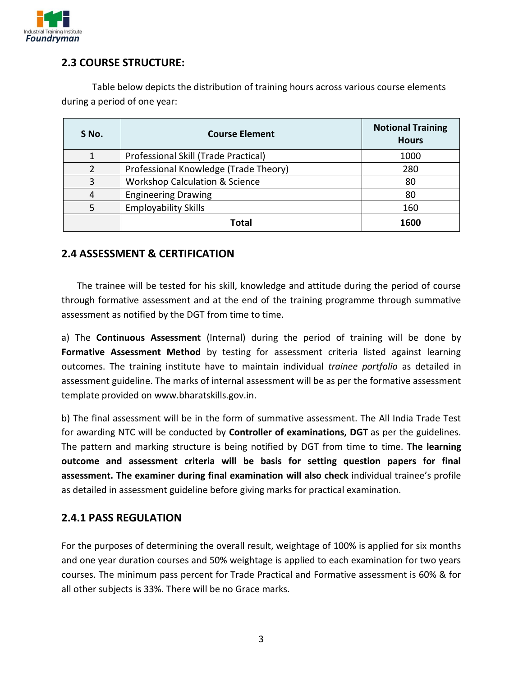

#### **2.3 COURSE STRUCTURE:**

Table below depicts the distribution of training hours across various course elements during a period of one year:

| S No. | <b>Course Element</b>                     | <b>Notional Training</b><br><b>Hours</b> |
|-------|-------------------------------------------|------------------------------------------|
|       | Professional Skill (Trade Practical)      | 1000                                     |
|       | Professional Knowledge (Trade Theory)     | 280                                      |
| 3     | <b>Workshop Calculation &amp; Science</b> | 80                                       |
|       | <b>Engineering Drawing</b>                | 80                                       |
|       | <b>Employability Skills</b>               | 160                                      |
|       | Total                                     | 1600                                     |

#### **2.4 ASSESSMENT & CERTIFICATION**

The trainee will be tested for his skill, knowledge and attitude during the period of course through formative assessment and at the end of the training programme through summative assessment as notified by the DGT from time to time.

a) The **Continuous Assessment** (Internal) during the period of training will be done by Formative Assessment Method by testing for assessment criteria listed against learning outcomes. The training institute have to maintain individual *trainee portfolio* as detailed in assessment guideline. The marks of internal assessment will be as per the formative assessment template provided on www.bharatskills.gov.in.

b) The final assessment will be in the form of summative assessment. The All India Trade Test for awarding NTC will be conducted by **Controller of examinations, DGT** as per the guidelines. The pattern and marking structure is being notified by DGT from time to time. **The learning outcome and assessment criteria will be basis for setting question papers for final assessment. The examiner during final examination will also check** individual trainee's profile as detailed in assessment guideline before giving marks for practical examination.

#### **2.4.1 PASS REGULATION**

For the purposes of determining the overall result, weightage of 100% is applied for six months and one year duration courses and 50% weightage is applied to each examination for two years courses. The minimum pass percent for Trade Practical and Formative assessment is 60% & for all other subjects is 33%. There will be no Grace marks.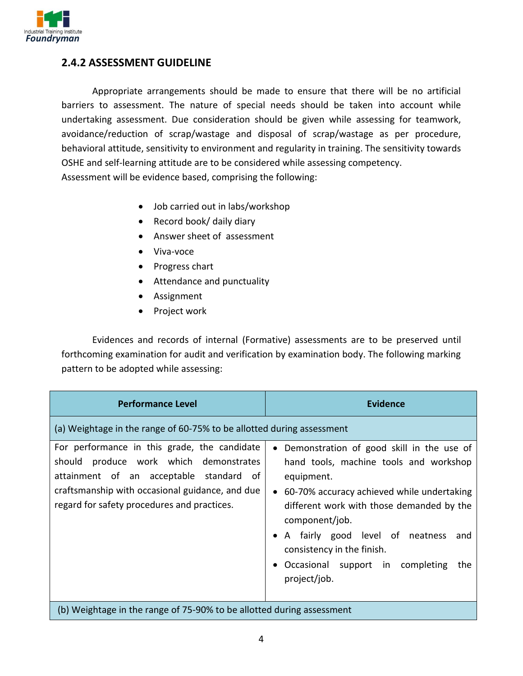

#### **2.4.2 ASSESSMENT GUIDELINE**

Appropriate arrangements should be made to ensure that there will be no artificial barriers to assessment. The nature of special needs should be taken into account while undertaking assessment. Due consideration should be given while assessing for teamwork, avoidance/reduction of scrap/wastage and disposal of scrap/wastage as per procedure, behavioral attitude, sensitivity to environment and regularity in training. The sensitivity towards OSHE and self-learning attitude are to be considered while assessing competency. Assessment will be evidence based, comprising the following:

- Job carried out in labs/workshop
- Record book/ daily diary
- Answer sheet of assessment
- Viva-voce
- Progress chart
- Attendance and punctuality
- Assignment
- Project work

Evidences and records of internal (Formative) assessments are to be preserved until forthcoming examination for audit and verification by examination body. The following marking pattern to be adopted while assessing:

| <b>Performance Level</b>                                                                                                                                                                                                            | <b>Evidence</b>                                                                                                                                                                                                                                                                                                                                                                    |  |  |
|-------------------------------------------------------------------------------------------------------------------------------------------------------------------------------------------------------------------------------------|------------------------------------------------------------------------------------------------------------------------------------------------------------------------------------------------------------------------------------------------------------------------------------------------------------------------------------------------------------------------------------|--|--|
| (a) Weightage in the range of 60-75% to be allotted during assessment                                                                                                                                                               |                                                                                                                                                                                                                                                                                                                                                                                    |  |  |
| For performance in this grade, the candidate<br>should produce work which demonstrates<br>attainment of an acceptable standard of<br>craftsmanship with occasional guidance, and due<br>regard for safety procedures and practices. | • Demonstration of good skill in the use of<br>hand tools, machine tools and workshop<br>equipment.<br>60-70% accuracy achieved while undertaking<br>$\bullet$<br>different work with those demanded by the<br>component/job.<br>A fairly good level of neatness<br>and<br>٠<br>consistency in the finish.<br>Occasional support in completing<br>the<br>$\bullet$<br>project/job. |  |  |
| (b) Weightage in the range of 75-90% to be allotted during assessment                                                                                                                                                               |                                                                                                                                                                                                                                                                                                                                                                                    |  |  |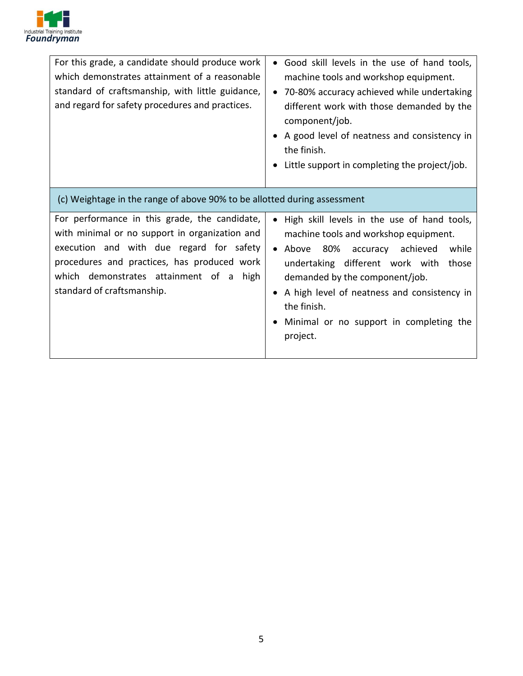

| For this grade, a candidate should produce work<br>which demonstrates attainment of a reasonable<br>standard of craftsmanship, with little guidance,<br>and regard for safety procedures and practices.                                                             | Good skill levels in the use of hand tools,<br>$\bullet$<br>machine tools and workshop equipment.<br>• 70-80% accuracy achieved while undertaking<br>different work with those demanded by the<br>component/job.<br>A good level of neatness and consistency in<br>the finish.<br>Little support in completing the project/job. |
|---------------------------------------------------------------------------------------------------------------------------------------------------------------------------------------------------------------------------------------------------------------------|---------------------------------------------------------------------------------------------------------------------------------------------------------------------------------------------------------------------------------------------------------------------------------------------------------------------------------|
| (c) Weightage in the range of above 90% to be allotted during assessment                                                                                                                                                                                            |                                                                                                                                                                                                                                                                                                                                 |
| For performance in this grade, the candidate,<br>with minimal or no support in organization and<br>execution and with due regard for safety<br>procedures and practices, has produced work<br>which demonstrates attainment of a high<br>standard of craftsmanship. | High skill levels in the use of hand tools,<br>machine tools and workshop equipment.<br>Above 80% accuracy achieved<br>while<br>undertaking different work with those<br>demanded by the component/job.<br>A high level of neatness and consistency in<br>the finish.<br>Minimal or no support in completing the<br>project.    |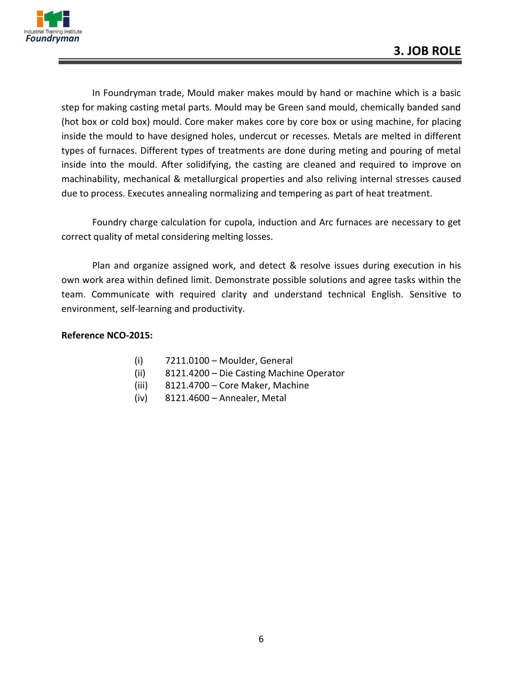

In Foundryman trade, Mould maker makes mould by hand or machine which is a basic step for making casting metal parts. Mould may be Green sand mould, chemically banded sand (hot box or cold box) mould. Core maker makes core by core box or using machine, for placing inside the mould to have designed holes, undercut or recesses. Metals are melted in different types of furnaces. Different types of treatments are done during meting and pouring of metal inside into the mould. After solidifying, the casting are cleaned and required to improve on machinability, mechanical & metallurgical properties and also reliving internal stresses caused due to process. Executes annealing normalizing and tempering as part of heat treatment.

Foundry charge calculation for cupola, induction and Arc furnaces are necessary to get correct quality of metal considering melting losses.

Plan and organize assigned work, and detect & resolve issues during execution in his own work area within defined limit. Demonstrate possible solutions and agree tasks within the team. Communicate with required clarity and understand technical English. Sensitive to environment, self-learning and productivity.

#### **Reference NCO-2015:**

- (i) 7211.0100 Moulder, General
- (ii) 8121.4200 Die Casting Machine Operator
- (iii) 8121.4700 Core Maker, Machine
- (iv) 8121.4600 Annealer, Metal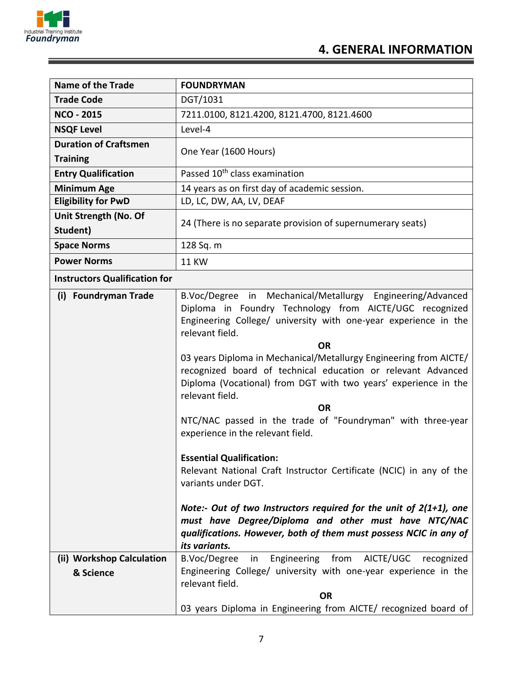

| <b>Name of the Trade</b>                                                                        | <b>FOUNDRYMAN</b>                                                                                                                                                                                                                                                                                                                                                                                                                                                                                                                                                                                                                                                                                                                                                                                                                                                                                                                                                                                 |  |  |
|-------------------------------------------------------------------------------------------------|---------------------------------------------------------------------------------------------------------------------------------------------------------------------------------------------------------------------------------------------------------------------------------------------------------------------------------------------------------------------------------------------------------------------------------------------------------------------------------------------------------------------------------------------------------------------------------------------------------------------------------------------------------------------------------------------------------------------------------------------------------------------------------------------------------------------------------------------------------------------------------------------------------------------------------------------------------------------------------------------------|--|--|
| <b>Trade Code</b>                                                                               | DGT/1031                                                                                                                                                                                                                                                                                                                                                                                                                                                                                                                                                                                                                                                                                                                                                                                                                                                                                                                                                                                          |  |  |
| <b>NCO - 2015</b>                                                                               | 7211.0100, 8121.4200, 8121.4700, 8121.4600                                                                                                                                                                                                                                                                                                                                                                                                                                                                                                                                                                                                                                                                                                                                                                                                                                                                                                                                                        |  |  |
| <b>NSQF Level</b>                                                                               | Level-4                                                                                                                                                                                                                                                                                                                                                                                                                                                                                                                                                                                                                                                                                                                                                                                                                                                                                                                                                                                           |  |  |
| <b>Duration of Craftsmen</b><br><b>Training</b>                                                 | One Year (1600 Hours)                                                                                                                                                                                                                                                                                                                                                                                                                                                                                                                                                                                                                                                                                                                                                                                                                                                                                                                                                                             |  |  |
| <b>Entry Qualification</b>                                                                      | Passed 10 <sup>th</sup> class examination                                                                                                                                                                                                                                                                                                                                                                                                                                                                                                                                                                                                                                                                                                                                                                                                                                                                                                                                                         |  |  |
| <b>Minimum Age</b>                                                                              | 14 years as on first day of academic session.                                                                                                                                                                                                                                                                                                                                                                                                                                                                                                                                                                                                                                                                                                                                                                                                                                                                                                                                                     |  |  |
| <b>Eligibility for PwD</b>                                                                      | LD, LC, DW, AA, LV, DEAF                                                                                                                                                                                                                                                                                                                                                                                                                                                                                                                                                                                                                                                                                                                                                                                                                                                                                                                                                                          |  |  |
| Unit Strength (No. Of<br>Student)                                                               | 24 (There is no separate provision of supernumerary seats)                                                                                                                                                                                                                                                                                                                                                                                                                                                                                                                                                                                                                                                                                                                                                                                                                                                                                                                                        |  |  |
| <b>Space Norms</b>                                                                              | 128 Sq. m                                                                                                                                                                                                                                                                                                                                                                                                                                                                                                                                                                                                                                                                                                                                                                                                                                                                                                                                                                                         |  |  |
| <b>Power Norms</b>                                                                              | <b>11 KW</b>                                                                                                                                                                                                                                                                                                                                                                                                                                                                                                                                                                                                                                                                                                                                                                                                                                                                                                                                                                                      |  |  |
| <b>Instructors Qualification for</b>                                                            |                                                                                                                                                                                                                                                                                                                                                                                                                                                                                                                                                                                                                                                                                                                                                                                                                                                                                                                                                                                                   |  |  |
| (i) Foundryman Trade<br>(ii) Workshop Calculation                                               | B.Voc/Degree in Mechanical/Metallurgy Engineering/Advanced<br>Diploma in Foundry Technology from AICTE/UGC recognized<br>Engineering College/ university with one-year experience in the<br>relevant field.<br><b>OR</b><br>03 years Diploma in Mechanical/Metallurgy Engineering from AICTE/<br>recognized board of technical education or relevant Advanced<br>Diploma (Vocational) from DGT with two years' experience in the<br>relevant field.<br><b>OR</b><br>NTC/NAC passed in the trade of "Foundryman" with three-year<br>experience in the relevant field.<br><b>Essential Qualification:</b><br>Relevant National Craft Instructor Certificate (NCIC) in any of the<br>variants under DGT.<br>Note:- Out of two Instructors required for the unit of $2(1+1)$ , one<br>must have Degree/Diploma and other must have NTC/NAC<br>qualifications. However, both of them must possess NCIC in any of<br>its variants.<br>AICTE/UGC<br>B.Voc/Degree<br>Engineering from<br>recognized<br>in |  |  |
| & Science                                                                                       | Engineering College/ university with one-year experience in the                                                                                                                                                                                                                                                                                                                                                                                                                                                                                                                                                                                                                                                                                                                                                                                                                                                                                                                                   |  |  |
| relevant field.<br><b>OR</b><br>03 years Diploma in Engineering from AICTE/ recognized board of |                                                                                                                                                                                                                                                                                                                                                                                                                                                                                                                                                                                                                                                                                                                                                                                                                                                                                                                                                                                                   |  |  |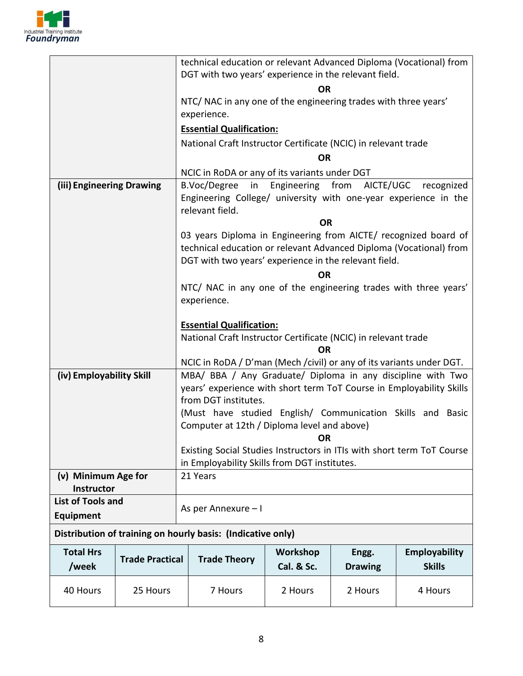

| 40 Hours                                      | 25 Hours               | 7 Hours                                                                                                                               | 2 Hours                | 2 Hours                 | 4 Hours                               |
|-----------------------------------------------|------------------------|---------------------------------------------------------------------------------------------------------------------------------------|------------------------|-------------------------|---------------------------------------|
| <b>Total Hrs</b><br>/week                     | <b>Trade Practical</b> | <b>Trade Theory</b>                                                                                                                   | Workshop<br>Cal. & Sc. | Engg.<br><b>Drawing</b> | <b>Employability</b><br><b>Skills</b> |
|                                               |                        | Distribution of training on hourly basis: (Indicative only)                                                                           |                        |                         |                                       |
| <b>Equipment</b>                              |                        | As per Annexure - I                                                                                                                   |                        |                         |                                       |
| <b>Instructor</b><br><b>List of Tools and</b> |                        |                                                                                                                                       |                        |                         |                                       |
| (v) Minimum Age for                           |                        | 21 Years                                                                                                                              |                        |                         |                                       |
|                                               |                        | Existing Social Studies Instructors in ITIs with short term ToT Course<br>in Employability Skills from DGT institutes.                |                        |                         |                                       |
|                                               |                        | Computer at 12th / Diploma level and above)<br><b>OR</b>                                                                              |                        |                         |                                       |
|                                               |                        | (Must have studied English/ Communication Skills and Basic                                                                            |                        |                         |                                       |
|                                               |                        | years' experience with short term ToT Course in Employability Skills<br>from DGT institutes.                                          |                        |                         |                                       |
| (iv) Employability Skill                      |                        | MBA/ BBA / Any Graduate/ Diploma in any discipline with Two                                                                           |                        |                         |                                       |
|                                               |                        | NCIC in RoDA / D'man (Mech / civil) or any of its variants under DGT.                                                                 |                        |                         |                                       |
|                                               |                        | National Craft Instructor Certificate (NCIC) in relevant trade<br><b>OR</b>                                                           |                        |                         |                                       |
|                                               |                        | <b>Essential Qualification:</b>                                                                                                       |                        |                         |                                       |
|                                               |                        | NTC/ NAC in any one of the engineering trades with three years'<br>experience.                                                        |                        |                         |                                       |
|                                               |                        | OR                                                                                                                                    |                        |                         |                                       |
|                                               |                        | DGT with two years' experience in the relevant field.                                                                                 |                        |                         |                                       |
|                                               |                        | 03 years Diploma in Engineering from AICTE/ recognized board of<br>technical education or relevant Advanced Diploma (Vocational) from |                        |                         |                                       |
|                                               |                        |                                                                                                                                       | <b>OR</b>              |                         |                                       |
|                                               |                        | Engineering College/ university with one-year experience in the<br>relevant field.                                                    |                        |                         |                                       |
| (iii) Engineering Drawing                     |                        | B.Voc/Degree<br>in<br>Engineering from AICTE/UGC<br>recognized                                                                        |                        |                         |                                       |
|                                               |                        | <b>OR</b><br>NCIC in RoDA or any of its variants under DGT                                                                            |                        |                         |                                       |
|                                               |                        | National Craft Instructor Certificate (NCIC) in relevant trade                                                                        |                        |                         |                                       |
|                                               |                        | <b>Essential Qualification:</b>                                                                                                       |                        |                         |                                       |
|                                               |                        | NTC/ NAC in any one of the engineering trades with three years'<br>experience.                                                        |                        |                         |                                       |
|                                               |                        |                                                                                                                                       | OR                     |                         |                                       |
|                                               |                        | DGT with two years' experience in the relevant field.                                                                                 |                        |                         |                                       |
|                                               |                        | technical education or relevant Advanced Diploma (Vocational) from                                                                    |                        |                         |                                       |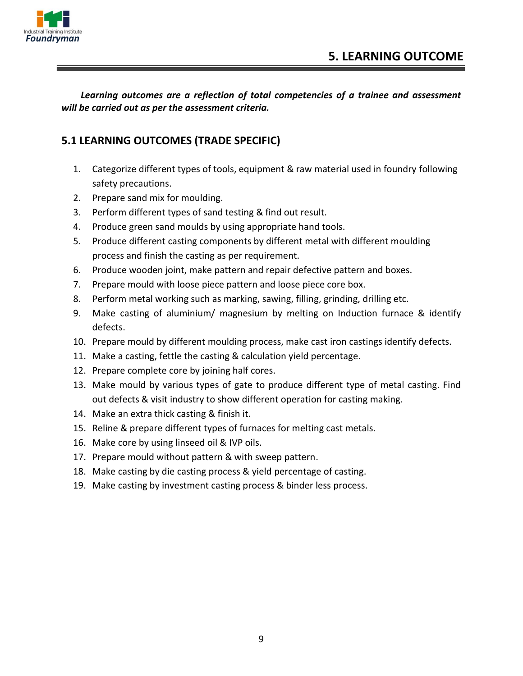

*Learning outcomes are a reflection of total competencies of a trainee and assessment will be carried out as per the assessment criteria.*

#### **5.1 LEARNING OUTCOMES (TRADE SPECIFIC)**

- 1. Categorize different types of tools, equipment & raw material used in foundry following safety precautions.
- 2. Prepare sand mix for moulding.
- 3. Perform different types of sand testing & find out result.
- 4. Produce green sand moulds by using appropriate hand tools.
- 5. Produce different casting components by different metal with different moulding process and finish the casting as per requirement.
- 6. Produce wooden joint, make pattern and repair defective pattern and boxes.
- 7. Prepare mould with loose piece pattern and loose piece core box.
- 8. Perform metal working such as marking, sawing, filling, grinding, drilling etc.
- 9. Make casting of aluminium/ magnesium by melting on Induction furnace & identify defects.
- 10. Prepare mould by different moulding process, make cast iron castings identify defects.
- 11. Make a casting, fettle the casting & calculation yield percentage.
- 12. Prepare complete core by joining half cores.
- 13. Make mould by various types of gate to produce different type of metal casting. Find out defects & visit industry to show different operation for casting making.
- 14. Make an extra thick casting & finish it.
- 15. Reline & prepare different types of furnaces for melting cast metals.
- 16. Make core by using linseed oil & IVP oils.
- 17. Prepare mould without pattern & with sweep pattern.
- 18. Make casting by die casting process & yield percentage of casting.
- 19. Make casting by investment casting process & binder less process.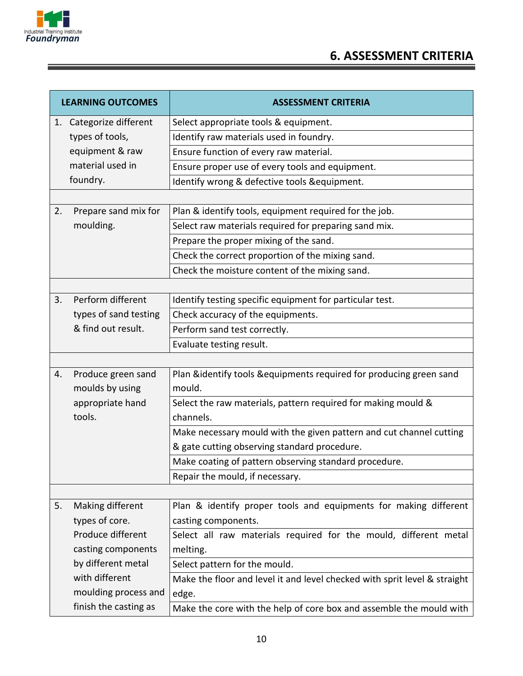

Ξ

## **6. ASSESSMENT CRITERIA**

| <b>LEARNING OUTCOMES</b>           |                         | <b>ASSESSMENT CRITERIA</b>                                                |  |
|------------------------------------|-------------------------|---------------------------------------------------------------------------|--|
|                                    | 1. Categorize different | Select appropriate tools & equipment.                                     |  |
| types of tools,<br>equipment & raw |                         | Identify raw materials used in foundry.                                   |  |
|                                    |                         | Ensure function of every raw material.                                    |  |
|                                    | material used in        | Ensure proper use of every tools and equipment.                           |  |
|                                    | foundry.                | Identify wrong & defective tools & equipment.                             |  |
|                                    |                         |                                                                           |  |
| 2.                                 | Prepare sand mix for    | Plan & identify tools, equipment required for the job.                    |  |
|                                    | moulding.               | Select raw materials required for preparing sand mix.                     |  |
|                                    |                         | Prepare the proper mixing of the sand.                                    |  |
|                                    |                         | Check the correct proportion of the mixing sand.                          |  |
|                                    |                         | Check the moisture content of the mixing sand.                            |  |
|                                    |                         |                                                                           |  |
| 3.                                 | Perform different       | Identify testing specific equipment for particular test.                  |  |
|                                    | types of sand testing   | Check accuracy of the equipments.                                         |  |
|                                    | & find out result.      | Perform sand test correctly.                                              |  |
|                                    |                         | Evaluate testing result.                                                  |  |
|                                    |                         |                                                                           |  |
| 4.                                 | Produce green sand      | Plan &identify tools &equipments required for producing green sand        |  |
|                                    | moulds by using         | mould.                                                                    |  |
|                                    | appropriate hand        | Select the raw materials, pattern required for making mould &             |  |
|                                    | tools.                  | channels.                                                                 |  |
|                                    |                         | Make necessary mould with the given pattern and cut channel cutting       |  |
|                                    |                         | & gate cutting observing standard procedure.                              |  |
|                                    |                         | Make coating of pattern observing standard procedure.                     |  |
|                                    |                         | Repair the mould, if necessary.                                           |  |
|                                    |                         |                                                                           |  |
| 5.                                 | Making different        | Plan & identify proper tools and equipments for making different          |  |
|                                    | types of core.          | casting components.                                                       |  |
|                                    | Produce different       | Select all raw materials required for the mould, different metal          |  |
|                                    | casting components      | melting.                                                                  |  |
|                                    | by different metal      | Select pattern for the mould.                                             |  |
|                                    | with different          | Make the floor and level it and level checked with sprit level & straight |  |
|                                    | moulding process and    | edge.                                                                     |  |
|                                    | finish the casting as   | Make the core with the help of core box and assemble the mould with       |  |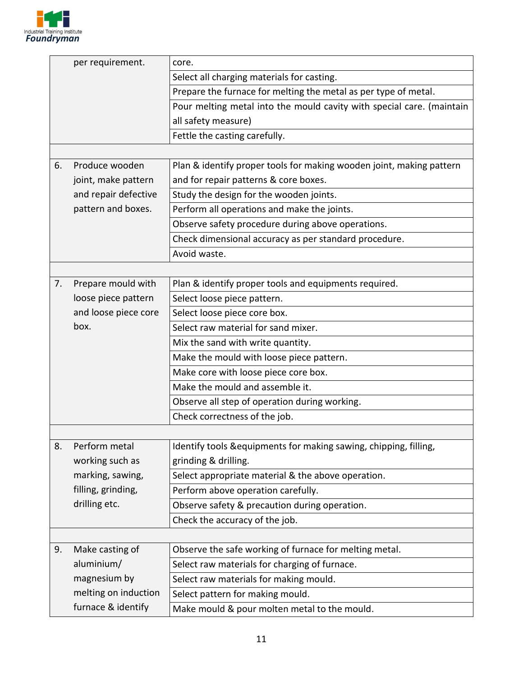

|                              | per requirement.     | core.                                                                 |  |  |
|------------------------------|----------------------|-----------------------------------------------------------------------|--|--|
|                              |                      | Select all charging materials for casting.                            |  |  |
|                              |                      | Prepare the furnace for melting the metal as per type of metal.       |  |  |
|                              |                      | Pour melting metal into the mould cavity with special care. (maintain |  |  |
|                              |                      | all safety measure)                                                   |  |  |
|                              |                      | Fettle the casting carefully.                                         |  |  |
|                              |                      |                                                                       |  |  |
| 6.                           | Produce wooden       | Plan & identify proper tools for making wooden joint, making pattern  |  |  |
|                              | joint, make pattern  | and for repair patterns & core boxes.                                 |  |  |
|                              | and repair defective | Study the design for the wooden joints.                               |  |  |
|                              | pattern and boxes.   | Perform all operations and make the joints.                           |  |  |
|                              |                      | Observe safety procedure during above operations.                     |  |  |
|                              |                      | Check dimensional accuracy as per standard procedure.                 |  |  |
|                              |                      | Avoid waste.                                                          |  |  |
|                              |                      |                                                                       |  |  |
| 7.                           | Prepare mould with   | Plan & identify proper tools and equipments required.                 |  |  |
|                              | loose piece pattern  | Select loose piece pattern.                                           |  |  |
| and loose piece core<br>box. |                      | Select loose piece core box.                                          |  |  |
|                              |                      | Select raw material for sand mixer.                                   |  |  |
|                              |                      | Mix the sand with write quantity.                                     |  |  |
|                              |                      | Make the mould with loose piece pattern.                              |  |  |
|                              |                      | Make core with loose piece core box.                                  |  |  |
|                              |                      | Make the mould and assemble it.                                       |  |  |
|                              |                      | Observe all step of operation during working.                         |  |  |
|                              |                      | Check correctness of the job.                                         |  |  |
|                              |                      |                                                                       |  |  |
| 8.                           | Perform metal        | Identify tools & equipments for making sawing, chipping, filling,     |  |  |
|                              | working such as      | grinding & drilling.                                                  |  |  |
|                              | marking, sawing,     | Select appropriate material & the above operation.                    |  |  |
|                              | filling, grinding,   | Perform above operation carefully.                                    |  |  |
|                              | drilling etc.        | Observe safety & precaution during operation.                         |  |  |
|                              |                      | Check the accuracy of the job.                                        |  |  |
|                              |                      |                                                                       |  |  |
| 9.                           | Make casting of      | Observe the safe working of furnace for melting metal.                |  |  |
|                              | aluminium/           | Select raw materials for charging of furnace.                         |  |  |
|                              | magnesium by         | Select raw materials for making mould.                                |  |  |
|                              | melting on induction | Select pattern for making mould.                                      |  |  |
|                              | furnace & identify   | Make mould & pour molten metal to the mould.                          |  |  |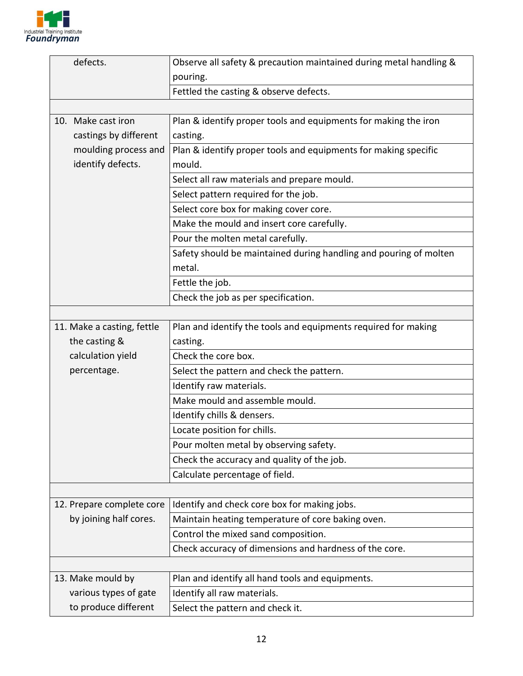

| defects.                                    |                           | Observe all safety & precaution maintained during metal handling & |
|---------------------------------------------|---------------------------|--------------------------------------------------------------------|
|                                             |                           | pouring.                                                           |
|                                             |                           | Fettled the casting & observe defects.                             |
|                                             |                           |                                                                    |
|                                             | 10. Make cast iron        | Plan & identify proper tools and equipments for making the iron    |
|                                             | castings by different     | casting.                                                           |
|                                             | moulding process and      | Plan & identify proper tools and equipments for making specific    |
|                                             | identify defects.         | mould.                                                             |
|                                             |                           | Select all raw materials and prepare mould.                        |
|                                             |                           | Select pattern required for the job.                               |
|                                             |                           | Select core box for making cover core.                             |
|                                             |                           | Make the mould and insert core carefully.                          |
|                                             |                           | Pour the molten metal carefully.                                   |
|                                             |                           | Safety should be maintained during handling and pouring of molten  |
|                                             |                           | metal.                                                             |
|                                             |                           | Fettle the job.                                                    |
|                                             |                           | Check the job as per specification.                                |
|                                             |                           |                                                                    |
| 11. Make a casting, fettle<br>the casting & |                           | Plan and identify the tools and equipments required for making     |
|                                             |                           | casting.                                                           |
|                                             | calculation yield         | Check the core box.                                                |
| percentage.                                 |                           | Select the pattern and check the pattern.                          |
|                                             |                           | Identify raw materials.                                            |
|                                             |                           | Make mould and assemble mould.                                     |
|                                             |                           | Identify chills & densers.                                         |
|                                             |                           | Locate position for chills.                                        |
|                                             |                           | Pour molten metal by observing safety.                             |
|                                             |                           | Check the accuracy and quality of the job.                         |
|                                             |                           | Calculate percentage of field.                                     |
|                                             |                           |                                                                    |
|                                             | 12. Prepare complete core | Identify and check core box for making jobs.                       |
|                                             | by joining half cores.    | Maintain heating temperature of core baking oven.                  |
|                                             |                           | Control the mixed sand composition.                                |
|                                             |                           | Check accuracy of dimensions and hardness of the core.             |
|                                             |                           |                                                                    |
|                                             | 13. Make mould by         | Plan and identify all hand tools and equipments.                   |
|                                             | various types of gate     | Identify all raw materials.                                        |
|                                             | to produce different      | Select the pattern and check it.                                   |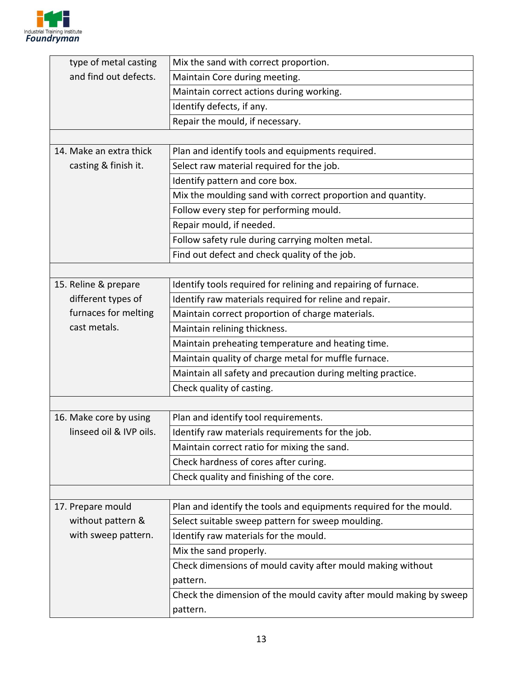

| type of metal casting                                  | Mix the sand with correct proportion.                               |  |  |
|--------------------------------------------------------|---------------------------------------------------------------------|--|--|
| and find out defects.<br>Maintain Core during meeting. |                                                                     |  |  |
|                                                        | Maintain correct actions during working.                            |  |  |
|                                                        | Identify defects, if any.                                           |  |  |
|                                                        | Repair the mould, if necessary.                                     |  |  |
|                                                        |                                                                     |  |  |
| 14. Make an extra thick                                | Plan and identify tools and equipments required.                    |  |  |
| casting & finish it.                                   | Select raw material required for the job.                           |  |  |
|                                                        | Identify pattern and core box.                                      |  |  |
|                                                        | Mix the moulding sand with correct proportion and quantity.         |  |  |
|                                                        | Follow every step for performing mould.                             |  |  |
|                                                        | Repair mould, if needed.                                            |  |  |
|                                                        | Follow safety rule during carrying molten metal.                    |  |  |
|                                                        | Find out defect and check quality of the job.                       |  |  |
|                                                        |                                                                     |  |  |
| 15. Reline & prepare                                   | Identify tools required for relining and repairing of furnace.      |  |  |
| different types of                                     | Identify raw materials required for reline and repair.              |  |  |
| furnaces for melting                                   | Maintain correct proportion of charge materials.                    |  |  |
| cast metals.                                           | Maintain relining thickness.                                        |  |  |
|                                                        | Maintain preheating temperature and heating time.                   |  |  |
|                                                        | Maintain quality of charge metal for muffle furnace.                |  |  |
|                                                        | Maintain all safety and precaution during melting practice.         |  |  |
|                                                        | Check quality of casting.                                           |  |  |
|                                                        |                                                                     |  |  |
| 16. Make core by using                                 | Plan and identify tool requirements.                                |  |  |
| linseed oil & IVP oils.                                | Identify raw materials requirements for the job.                    |  |  |
|                                                        | Maintain correct ratio for mixing the sand.                         |  |  |
|                                                        | Check hardness of cores after curing.                               |  |  |
|                                                        | Check quality and finishing of the core.                            |  |  |
|                                                        |                                                                     |  |  |
| 17. Prepare mould                                      | Plan and identify the tools and equipments required for the mould.  |  |  |
| without pattern &                                      | Select suitable sweep pattern for sweep moulding.                   |  |  |
| with sweep pattern.                                    | Identify raw materials for the mould.                               |  |  |
|                                                        | Mix the sand properly.                                              |  |  |
|                                                        | Check dimensions of mould cavity after mould making without         |  |  |
|                                                        | pattern.                                                            |  |  |
|                                                        | Check the dimension of the mould cavity after mould making by sweep |  |  |
|                                                        | pattern.                                                            |  |  |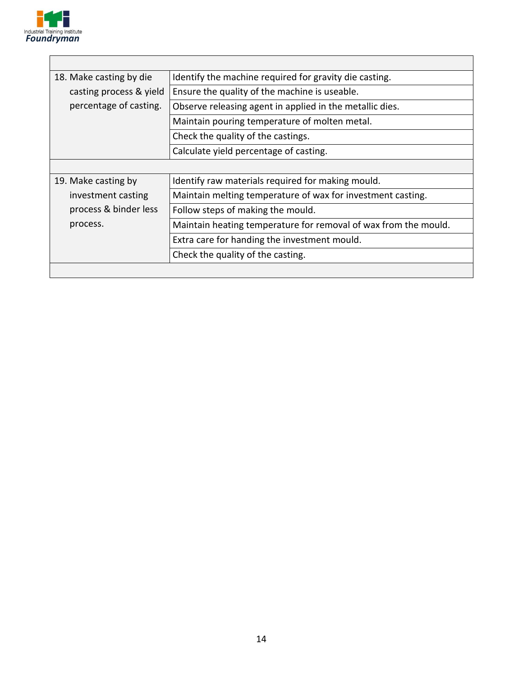

| 18. Make casting by die | Identify the machine required for gravity die casting.          |  |  |
|-------------------------|-----------------------------------------------------------------|--|--|
| casting process & yield | Ensure the quality of the machine is useable.                   |  |  |
| percentage of casting.  | Observe releasing agent in applied in the metallic dies.        |  |  |
|                         | Maintain pouring temperature of molten metal.                   |  |  |
|                         | Check the quality of the castings.                              |  |  |
|                         | Calculate yield percentage of casting.                          |  |  |
|                         |                                                                 |  |  |
| 19. Make casting by     | Identify raw materials required for making mould.               |  |  |
| investment casting      | Maintain melting temperature of wax for investment casting.     |  |  |
| process & binder less   | Follow steps of making the mould.                               |  |  |
| process.                | Maintain heating temperature for removal of wax from the mould. |  |  |
|                         | Extra care for handing the investment mould.                    |  |  |
|                         | Check the quality of the casting.                               |  |  |
|                         |                                                                 |  |  |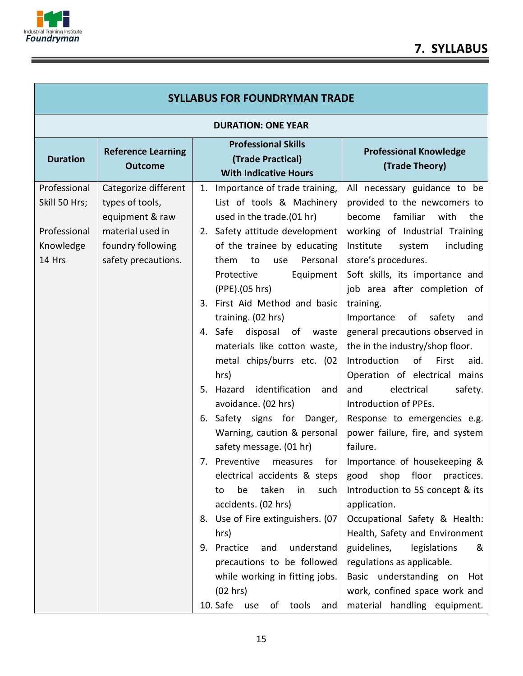

| <b>SYLLABUS FOR FOUNDRYMAN TRADE</b>                                 |                                                                                                                            |                                                                                                                                                                                                                                                                                                                                                                                                                                                                                                                                                                                                                                                                                                                                                                                                                                                                                                     |                                                                                                                                                                                                                                                                                                                                                                                                                                                                                                                                                                                                                                                                                                                                                                                                                                                                                                                                                                          |  |  |  |
|----------------------------------------------------------------------|----------------------------------------------------------------------------------------------------------------------------|-----------------------------------------------------------------------------------------------------------------------------------------------------------------------------------------------------------------------------------------------------------------------------------------------------------------------------------------------------------------------------------------------------------------------------------------------------------------------------------------------------------------------------------------------------------------------------------------------------------------------------------------------------------------------------------------------------------------------------------------------------------------------------------------------------------------------------------------------------------------------------------------------------|--------------------------------------------------------------------------------------------------------------------------------------------------------------------------------------------------------------------------------------------------------------------------------------------------------------------------------------------------------------------------------------------------------------------------------------------------------------------------------------------------------------------------------------------------------------------------------------------------------------------------------------------------------------------------------------------------------------------------------------------------------------------------------------------------------------------------------------------------------------------------------------------------------------------------------------------------------------------------|--|--|--|
|                                                                      | <b>DURATION: ONE YEAR</b>                                                                                                  |                                                                                                                                                                                                                                                                                                                                                                                                                                                                                                                                                                                                                                                                                                                                                                                                                                                                                                     |                                                                                                                                                                                                                                                                                                                                                                                                                                                                                                                                                                                                                                                                                                                                                                                                                                                                                                                                                                          |  |  |  |
| <b>Duration</b>                                                      | <b>Reference Learning</b><br><b>Outcome</b>                                                                                | <b>Professional Skills</b><br>(Trade Practical)<br><b>With Indicative Hours</b>                                                                                                                                                                                                                                                                                                                                                                                                                                                                                                                                                                                                                                                                                                                                                                                                                     | <b>Professional Knowledge</b><br>(Trade Theory)                                                                                                                                                                                                                                                                                                                                                                                                                                                                                                                                                                                                                                                                                                                                                                                                                                                                                                                          |  |  |  |
| Professional<br>Skill 50 Hrs;<br>Professional<br>Knowledge<br>14 Hrs | Categorize different<br>types of tools,<br>equipment & raw<br>material used in<br>foundry following<br>safety precautions. | Importance of trade training,<br>1.<br>List of tools & Machinery<br>used in the trade.(01 hr)<br>2. Safety attitude development<br>of the trainee by educating<br>Personal<br>them<br>to<br>use<br>Protective<br>Equipment<br>(PPE).(05 hrs)<br>3. First Aid Method and basic<br>training. (02 hrs)<br>4. Safe<br>disposal of waste<br>materials like cotton waste,<br>metal chips/burrs etc. (02<br>hrs)<br>5. Hazard<br>identification<br>and<br>avoidance. (02 hrs)<br>6. Safety signs for Danger,<br>Warning, caution & personal<br>safety message. (01 hr)<br>7. Preventive<br>for<br>measures<br>electrical accidents & steps<br>taken<br>be<br>such<br>in<br>to<br>accidents. (02 hrs)<br>8. Use of Fire extinguishers. (07<br>hrs)<br>9. Practice<br>understand<br>and<br>precautions to be followed<br>while working in fitting jobs.<br>(02 hrs)<br>10. Safe<br>of<br>tools<br>use<br>and | All necessary guidance to be<br>provided to the newcomers to<br>familiar<br>with<br>become<br>the<br>working of Industrial Training<br>Institute<br>including<br>system<br>store's procedures.<br>Soft skills, its importance and<br>job area after completion of<br>training.<br>Importance<br>of safety<br>and<br>general precautions observed in<br>the in the industry/shop floor.<br>Introduction<br>of<br>First<br>aid.<br>Operation of electrical mains<br>electrical<br>safety.<br>and<br>Introduction of PPEs.<br>Response to emergencies e.g.<br>power failure, fire, and system<br>failure.<br>Importance of housekeeping &<br>shop<br>floor<br>practices.<br>good<br>Introduction to 5S concept & its<br>application.<br>Occupational Safety & Health:<br>Health, Safety and Environment<br>guidelines,<br>legislations<br>&<br>regulations as applicable.<br>Basic understanding on<br>Hot<br>work, confined space work and<br>material handling equipment. |  |  |  |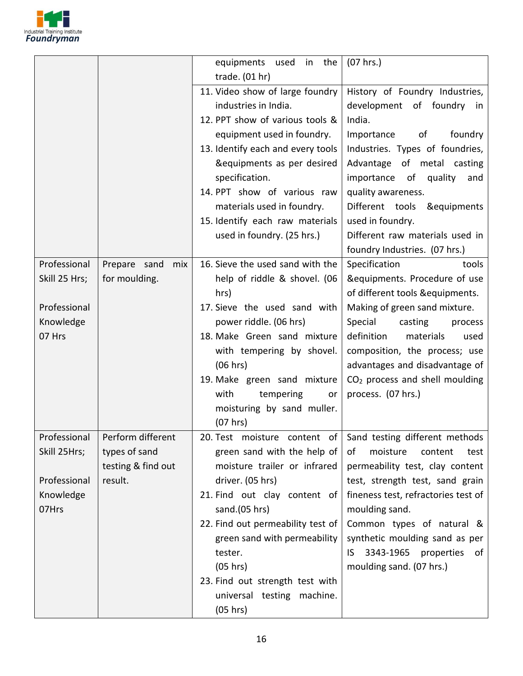

|               |                     | equipments<br>used in the         | $(07$ hrs.)                                |
|---------------|---------------------|-----------------------------------|--------------------------------------------|
|               |                     | trade. (01 hr)                    |                                            |
|               |                     | 11. Video show of large foundry   | History of Foundry Industries,             |
|               |                     | industries in India.              | development of foundry in                  |
|               |                     | 12. PPT show of various tools &   | India.                                     |
|               |                     | equipment used in foundry.        | of<br>Importance<br>foundry                |
|               |                     | 13. Identify each and every tools | Industries. Types of foundries,            |
|               |                     | &equipments as per desired        | Advantage of metal casting                 |
|               |                     | specification.                    | importance of<br>quality<br>and            |
|               |                     | 14. PPT show of various raw       | quality awareness.                         |
|               |                     | materials used in foundry.        | Different tools<br>&equipments             |
|               |                     | 15. Identify each raw materials   | used in foundry.                           |
|               |                     | used in foundry. (25 hrs.)        | Different raw materials used in            |
|               |                     |                                   | foundry Industries. (07 hrs.)              |
| Professional  | Prepare sand<br>mix | 16. Sieve the used sand with the  | Specification<br>tools                     |
| Skill 25 Hrs; | for moulding.       | help of riddle & shovel. (06      | &equipments. Procedure of use              |
|               |                     | hrs)                              | of different tools &equipments.            |
| Professional  |                     | 17. Sieve the used sand with      | Making of green sand mixture.              |
| Knowledge     |                     | power riddle. (06 hrs)            | Special<br>casting<br>process              |
| 07 Hrs        |                     | 18. Make Green sand mixture       | definition<br>materials<br>used            |
|               |                     | with tempering by shovel.         | composition, the process; use              |
|               |                     | (06 hrs)                          | advantages and disadvantage of             |
|               |                     | 19. Make green sand mixture       | CO <sub>2</sub> process and shell moulding |
|               |                     | with<br>tempering<br>or           | process. (07 hrs.)                         |
|               |                     | moisturing by sand muller.        |                                            |
|               |                     | (07 hrs)<br>$\epsilon$            |                                            |
| Professional  | Perform different   | 20. Test moisture content of      | Sand testing different methods             |
| Skill 25Hrs;  | types of sand       | green sand with the help of       | moisture<br>οf<br>content<br>test          |
|               | testing & find out  | moisture trailer or infrared      | permeability test, clay content            |
| Professional  | result.             | driver. (05 hrs)                  | test, strength test, sand grain            |
| Knowledge     |                     | 21. Find out clay content of      | fineness test, refractories test of        |
| 07Hrs         |                     | sand.(05 hrs)                     | moulding sand.                             |
|               |                     | 22. Find out permeability test of | Common types of natural &                  |
|               |                     | green sand with permeability      | synthetic moulding sand as per             |
|               |                     | tester.                           | 3343-1965<br>properties<br>IS.<br>of       |
|               |                     | (05 hrs)                          | moulding sand. (07 hrs.)                   |
|               |                     | 23. Find out strength test with   |                                            |
|               |                     | universal testing machine.        |                                            |
|               |                     | (05 hrs)                          |                                            |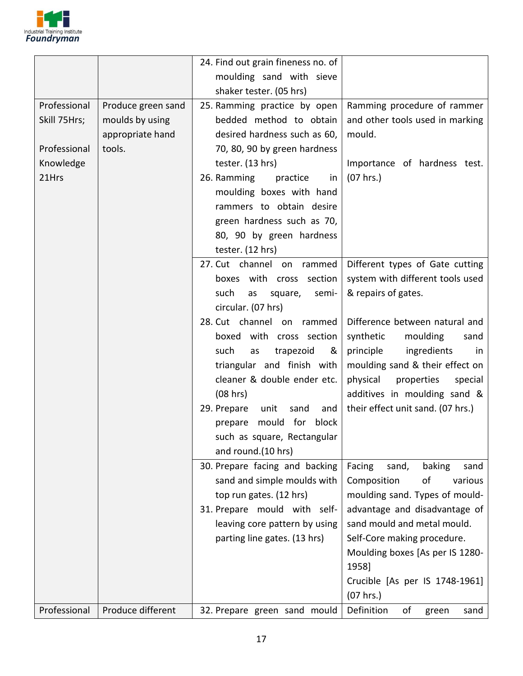

|              |                    | 24. Find out grain fineness no. of              |                                   |  |  |
|--------------|--------------------|-------------------------------------------------|-----------------------------------|--|--|
|              |                    | moulding sand with sieve                        |                                   |  |  |
|              |                    | shaker tester. (05 hrs)                         |                                   |  |  |
| Professional | Produce green sand | 25. Ramming practice by open                    | Ramming procedure of rammer       |  |  |
| Skill 75Hrs; | moulds by using    | bedded method to obtain                         | and other tools used in marking   |  |  |
|              | appropriate hand   | desired hardness such as 60,                    | mould.                            |  |  |
| Professional | tools.             | 70, 80, 90 by green hardness                    |                                   |  |  |
| Knowledge    |                    | tester. (13 hrs)                                | Importance of hardness test.      |  |  |
| 21Hrs        |                    | 26. Ramming<br>practice<br>in                   | (07 hrs.)                         |  |  |
|              |                    | moulding boxes with hand                        |                                   |  |  |
|              |                    | rammers to obtain desire                        |                                   |  |  |
|              |                    | green hardness such as 70,                      |                                   |  |  |
|              |                    | 80, 90 by green hardness                        |                                   |  |  |
|              |                    | tester. (12 hrs)                                |                                   |  |  |
|              |                    | 27. Cut channel on<br>rammed                    | Different types of Gate cutting   |  |  |
|              |                    | boxes with cross section                        | system with different tools used  |  |  |
|              |                    | semi-<br>such<br>as<br>square,                  | & repairs of gates.               |  |  |
|              |                    | circular. (07 hrs)                              |                                   |  |  |
|              |                    | 28. Cut channel on rammed                       | Difference between natural and    |  |  |
|              |                    | boxed with cross section                        | moulding<br>synthetic<br>sand     |  |  |
|              |                    | such<br>trapezoid<br>as<br>&                    | principle<br>ingredients<br>in    |  |  |
|              |                    | triangular and finish with                      | moulding sand & their effect on   |  |  |
|              |                    | cleaner & double ender etc.                     | physical<br>properties<br>special |  |  |
|              |                    | (08 hrs)                                        | additives in moulding sand &      |  |  |
|              |                    |                                                 |                                   |  |  |
|              |                    | 29. Prepare<br>unit<br>sand<br>and<br>mould for | their effect unit sand. (07 hrs.) |  |  |
|              |                    | block<br>prepare                                |                                   |  |  |
|              |                    | such as square, Rectangular                     |                                   |  |  |
|              |                    | and round.(10 hrs)                              |                                   |  |  |
|              |                    | 30. Prepare facing and backing                  | Facing<br>sand,<br>baking<br>sand |  |  |
|              |                    | sand and simple moulds with                     | Composition<br>οf<br>various      |  |  |
|              |                    | top run gates. (12 hrs)                         | moulding sand. Types of mould-    |  |  |
|              |                    | 31. Prepare mould with self-                    | advantage and disadvantage of     |  |  |
|              |                    | leaving core pattern by using                   | sand mould and metal mould.       |  |  |
|              |                    | parting line gates. (13 hrs)                    | Self-Core making procedure.       |  |  |
|              |                    |                                                 | Moulding boxes [As per IS 1280-   |  |  |
|              |                    |                                                 | 1958]                             |  |  |
|              |                    |                                                 | Crucible [As per IS 1748-1961]    |  |  |
|              |                    |                                                 | (07 hrs.)                         |  |  |
| Professional | Produce different  | 32. Prepare green sand mould                    | Definition<br>of<br>green<br>sand |  |  |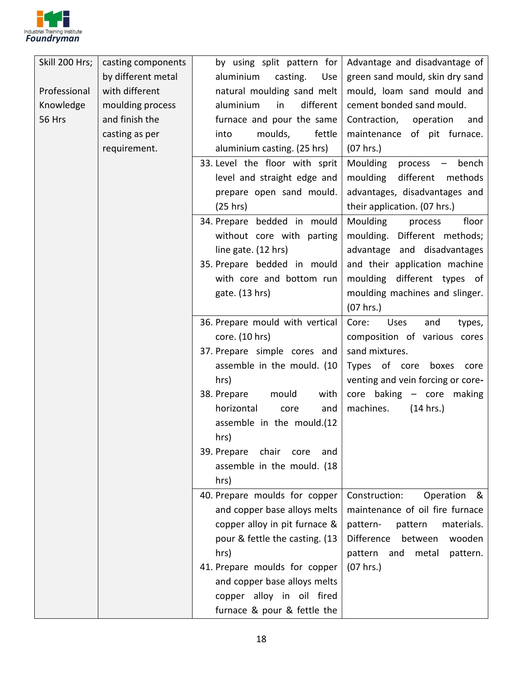

| Skill 200 Hrs; | casting components | by using split pattern for          | Advantage and disadvantage of                            |
|----------------|--------------------|-------------------------------------|----------------------------------------------------------|
|                | by different metal | aluminium<br>casting.<br>Use        | green sand mould, skin dry sand                          |
| Professional   | with different     | natural moulding sand melt          | mould, loam sand mould and                               |
| Knowledge      | moulding process   | aluminium<br>in<br>different        | cement bonded sand mould.                                |
| <b>56 Hrs</b>  | and finish the     | furnace and pour the same           | Contraction,<br>operation<br>and                         |
|                | casting as per     | moulds,<br>fettle<br>into           | maintenance of pit furnace.                              |
|                | requirement.       | aluminium casting. (25 hrs)         | (07 hrs.)                                                |
|                |                    | 33. Level the floor with sprit      | Moulding<br>bench<br>process<br>$\overline{\phantom{m}}$ |
|                |                    | level and straight edge and         | moulding<br>different<br>methods                         |
|                |                    | prepare open sand mould.            | advantages, disadvantages and                            |
|                |                    | (25 hrs)                            | their application. (07 hrs.)                             |
|                |                    | 34. Prepare bedded in mould         | Moulding<br>floor<br>process                             |
|                |                    | without core with parting           | moulding.<br>Different methods;                          |
|                |                    | line gate. (12 hrs)                 | advantage and disadvantages                              |
|                |                    | 35. Prepare bedded in mould         | and their application machine                            |
|                |                    | with core and bottom run            | moulding different types of                              |
|                |                    | gate. (13 hrs)                      | moulding machines and slinger.                           |
|                |                    |                                     | (07 hrs.)                                                |
|                |                    | 36. Prepare mould with vertical     | Core:<br><b>Uses</b><br>and<br>types,                    |
|                |                    | core. (10 hrs)                      | composition of various cores                             |
|                |                    | 37. Prepare simple cores and        | sand mixtures.                                           |
|                |                    | assemble in the mould. (10          | Types of core boxes<br>core                              |
|                |                    | hrs)                                | venting and vein forcing or core-                        |
|                |                    | with<br>38. Prepare<br>mould        | core baking - core<br>making                             |
|                |                    | horizontal<br>core<br>and           | machines.<br>(14 hrs.)                                   |
|                |                    | assemble in the mould.(12           |                                                          |
|                |                    | hrs)                                |                                                          |
|                |                    | 39. Prepare<br>chair<br>core<br>and |                                                          |
|                |                    | assemble in the mould. (18          |                                                          |
|                |                    | hrs)                                |                                                          |
|                |                    | 40. Prepare moulds for copper       | Construction:<br>Operation<br>&                          |
|                |                    | and copper base alloys melts        | maintenance of oil fire furnace                          |
|                |                    | copper alloy in pit furnace &       | materials.<br>pattern-<br>pattern                        |
|                |                    | pour & fettle the casting. (13      | Difference<br>between<br>wooden                          |
|                |                    | hrs)                                | pattern<br>metal<br>pattern.<br>and                      |
|                |                    | 41. Prepare moulds for copper       | (07 hrs.)                                                |
|                |                    | and copper base alloys melts        |                                                          |
|                |                    | copper alloy in oil fired           |                                                          |
|                |                    | furnace & pour & fettle the         |                                                          |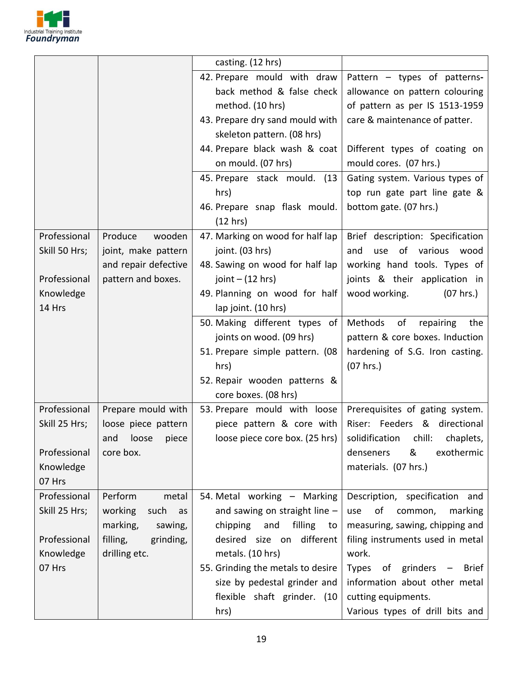

|                                                                      |                                                                                                            | casting. (12 hrs)                                                                                                                                                                                                                                                                         |                                                                                                                                                                                                                                                                                                                     |
|----------------------------------------------------------------------|------------------------------------------------------------------------------------------------------------|-------------------------------------------------------------------------------------------------------------------------------------------------------------------------------------------------------------------------------------------------------------------------------------------|---------------------------------------------------------------------------------------------------------------------------------------------------------------------------------------------------------------------------------------------------------------------------------------------------------------------|
|                                                                      |                                                                                                            | 42. Prepare mould with draw<br>back method & false check<br>method. (10 hrs)<br>43. Prepare dry sand mould with<br>skeleton pattern. (08 hrs)<br>44. Prepare black wash & coat<br>on mould. (07 hrs)<br>45. Prepare stack mould. (13<br>hrs)<br>46. Prepare snap flask mould.<br>(12 hrs) | Pattern - types of patterns-<br>allowance on pattern colouring<br>of pattern as per IS 1513-1959<br>care & maintenance of patter.<br>Different types of coating on<br>mould cores. (07 hrs.)<br>Gating system. Various types of<br>top run gate part line gate &<br>bottom gate. (07 hrs.)                          |
| Professional<br>Skill 50 Hrs;<br>Professional<br>Knowledge<br>14 Hrs | wooden<br>Produce<br>joint, make pattern<br>and repair defective<br>pattern and boxes.                     | 47. Marking on wood for half lap<br>joint. (03 hrs)<br>48. Sawing on wood for half lap<br>joint $-$ (12 hrs)<br>49. Planning on wood for half<br>lap joint. (10 hrs)                                                                                                                      | Brief description: Specification<br>use of<br>various<br>and<br>wood<br>working hand tools. Types of<br>joints & their application in<br>wood working.<br>(07 hrs.)                                                                                                                                                 |
|                                                                      |                                                                                                            | 50. Making different types of<br>joints on wood. (09 hrs)<br>51. Prepare simple pattern. (08<br>hrs)<br>52. Repair wooden patterns &<br>core boxes. (08 hrs)                                                                                                                              | Methods<br>of<br>repairing<br>the<br>pattern & core boxes. Induction<br>hardening of S.G. Iron casting.<br>(07 hrs.)                                                                                                                                                                                                |
| Professional<br>Skill 25 Hrs;<br>Professional<br>Knowledge<br>07 Hrs | Prepare mould with<br>loose piece pattern<br>and loose piece<br>core box.                                  | 53. Prepare mould with loose<br>piece pattern & core with<br>loose piece core box. (25 hrs)                                                                                                                                                                                               | Prerequisites of gating system.<br>Riser: Feeders & directional<br>solidification chill: chaplets,<br>&<br>exothermic<br>denseners<br>materials. (07 hrs.)                                                                                                                                                          |
| Professional<br>Skill 25 Hrs;<br>Professional<br>Knowledge<br>07 Hrs | Perform<br>metal<br>working<br>such<br>as<br>marking,<br>sawing,<br>filling,<br>grinding,<br>drilling etc. | 54. Metal working - Marking<br>and sawing on straight line $-$<br>chipping<br>and<br>filling<br>to<br>different<br>desired size on<br>metals. (10 hrs)<br>55. Grinding the metals to desire<br>size by pedestal grinder and<br>flexible shaft grinder. (10<br>hrs)                        | Description, specification and<br>οf<br>marking<br>common,<br>use<br>measuring, sawing, chipping and<br>filing instruments used in metal<br>work.<br>grinders<br>Types<br><b>Brief</b><br>of<br>$\overline{\phantom{m}}$<br>information about other metal<br>cutting equipments.<br>Various types of drill bits and |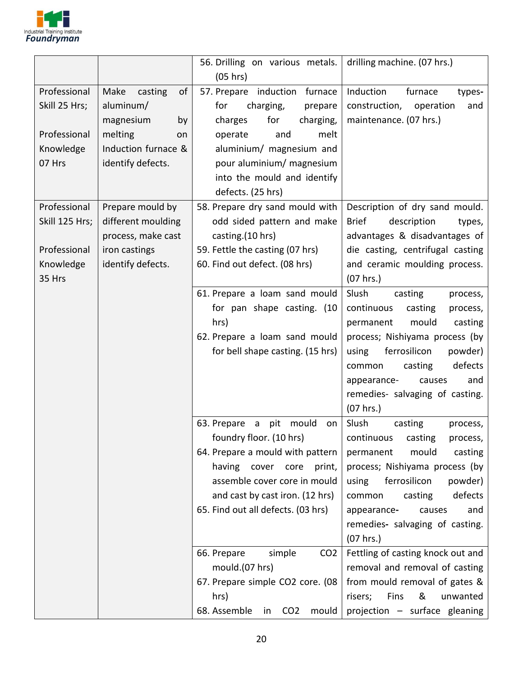

|                                     |                                                       | 56. Drilling on various metals.                                                                                                                                                                                                                                                                                                                                                                                        | drilling machine. (07 hrs.)                                                                                                                                                                                                                                                                                                                                                                                                                                           |
|-------------------------------------|-------------------------------------------------------|------------------------------------------------------------------------------------------------------------------------------------------------------------------------------------------------------------------------------------------------------------------------------------------------------------------------------------------------------------------------------------------------------------------------|-----------------------------------------------------------------------------------------------------------------------------------------------------------------------------------------------------------------------------------------------------------------------------------------------------------------------------------------------------------------------------------------------------------------------------------------------------------------------|
|                                     |                                                       | (05 hrs)                                                                                                                                                                                                                                                                                                                                                                                                               |                                                                                                                                                                                                                                                                                                                                                                                                                                                                       |
| Professional<br>Skill 25 Hrs;       | of<br>Make<br>casting<br>aluminum/<br>magnesium<br>by | 57. Prepare<br>induction furnace<br>for<br>charging,<br>prepare<br>for<br>charges<br>charging,                                                                                                                                                                                                                                                                                                                         | Induction<br>furnace<br>types-<br>construction,<br>operation<br>and<br>maintenance. (07 hrs.)                                                                                                                                                                                                                                                                                                                                                                         |
| Professional                        | melting<br>on                                         | and<br>melt<br>operate                                                                                                                                                                                                                                                                                                                                                                                                 |                                                                                                                                                                                                                                                                                                                                                                                                                                                                       |
| Knowledge<br>07 Hrs                 | Induction furnace &<br>identify defects.              | aluminium/ magnesium and<br>pour aluminium/ magnesium<br>into the mould and identify<br>defects. (25 hrs)                                                                                                                                                                                                                                                                                                              |                                                                                                                                                                                                                                                                                                                                                                                                                                                                       |
| Professional                        | Prepare mould by                                      | 58. Prepare dry sand mould with                                                                                                                                                                                                                                                                                                                                                                                        | Description of dry sand mould.                                                                                                                                                                                                                                                                                                                                                                                                                                        |
| Skill 125 Hrs;                      | different moulding<br>process, make cast              | odd sided pattern and make<br>casting.(10 hrs)                                                                                                                                                                                                                                                                                                                                                                         | <b>Brief</b><br>description<br>types,<br>advantages & disadvantages of                                                                                                                                                                                                                                                                                                                                                                                                |
| Professional<br>Knowledge<br>35 Hrs | iron castings<br>identify defects.                    | 59. Fettle the casting (07 hrs)<br>60. Find out defect. (08 hrs)                                                                                                                                                                                                                                                                                                                                                       | die casting, centrifugal casting<br>and ceramic moulding process.<br>(07 hrs.)                                                                                                                                                                                                                                                                                                                                                                                        |
|                                     |                                                       | 61. Prepare a loam sand mould<br>for pan shape casting. (10<br>hrs)<br>62. Prepare a loam sand mould<br>for bell shape casting. (15 hrs)                                                                                                                                                                                                                                                                               | Slush<br>casting<br>process,<br>continuous<br>casting<br>process,<br>permanent<br>mould<br>casting<br>process; Nishiyama process (by<br>using<br>ferrosilicon<br>powder)<br>defects<br>casting<br>common<br>appearance-<br>and<br>causes<br>remedies- salvaging of casting.<br>$(07$ hrs.)                                                                                                                                                                            |
|                                     |                                                       | 63. Prepare<br>$\overline{a}$<br>pit<br>mould<br>on<br>foundry floor. (10 hrs)<br>64. Prepare a mould with pattern<br>having cover core<br>print,<br>assemble cover core in mould<br>and cast by cast iron. (12 hrs)<br>65. Find out all defects. (03 hrs)<br>CO <sub>2</sub><br>66. Prepare<br>simple<br>mould.(07 hrs)<br>67. Prepare simple CO2 core. (08<br>hrs)<br>68. Assemble<br>CO <sub>2</sub><br>mould<br>in | Slush<br>casting<br>process,<br>continuous<br>casting<br>process,<br>mould<br>casting<br>permanent<br>process; Nishiyama process (by<br>ferrosilicon<br>using<br>powder)<br>defects<br>casting<br>common<br>appearance-<br>and<br>causes<br>remedies- salvaging of casting.<br>(07 hrs.)<br>Fettling of casting knock out and<br>removal and removal of casting<br>from mould removal of gates &<br>risers;<br>Fins<br>&<br>unwanted<br>projection - surface gleaning |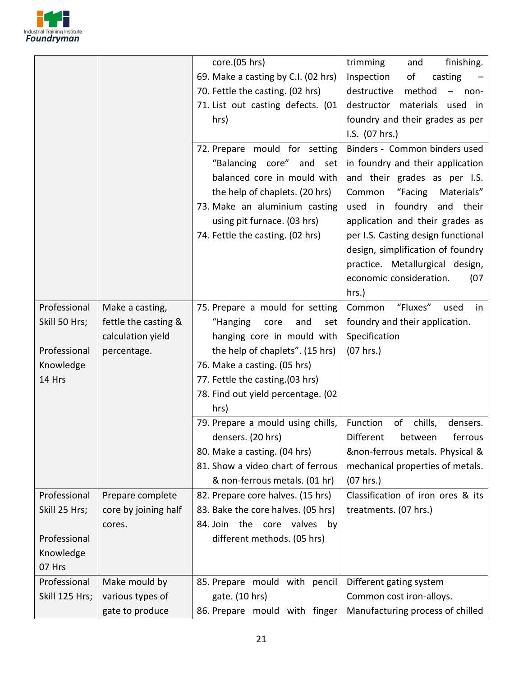

|                |                      | core.(05 hrs)                       | trimming<br>finishing.<br>and                             |
|----------------|----------------------|-------------------------------------|-----------------------------------------------------------|
|                |                      | 69. Make a casting by C.I. (02 hrs) | Inspection<br>of<br>casting                               |
|                |                      | 70. Fettle the casting. (02 hrs)    | destructive<br>method<br>$\overline{\phantom{0}}$<br>non- |
|                |                      | 71. List out casting defects. (01   | destructor<br>materials used<br>in                        |
|                |                      | hrs)                                | foundry and their grades as per                           |
|                |                      |                                     | I.S. (07 hrs.)                                            |
|                |                      | 72. Prepare mould for setting       | Binders - Common binders used                             |
|                |                      | "Balancing core" and set            | in foundry and their application                          |
|                |                      | balanced core in mould with         | and their grades as per I.S.                              |
|                |                      | the help of chaplets. (20 hrs)      | Common<br>"Facing<br>Materials"                           |
|                |                      | 73. Make an aluminium casting       | used in<br>foundry<br>and<br>their                        |
|                |                      | using pit furnace. (03 hrs)         | application and their grades as                           |
|                |                      | 74. Fettle the casting. (02 hrs)    | per I.S. Casting design functional                        |
|                |                      |                                     | design, simplification of foundry                         |
|                |                      |                                     | practice. Metallurgical design,                           |
|                |                      |                                     | economic consideration.<br>(07)                           |
|                |                      |                                     | hrs.)                                                     |
| Professional   | Make a casting,      | 75. Prepare a mould for setting     | "Fluxes"<br>Common<br>in<br>used                          |
| Skill 50 Hrs;  | fettle the casting & | "Hanging<br>and<br>core<br>set      | foundry and their application.                            |
|                | calculation yield    | hanging core in mould with          | Specification                                             |
| Professional   | percentage.          | the help of chaplets". (15 hrs)     | (07 hrs.)                                                 |
| Knowledge      |                      | 76. Make a casting. (05 hrs)        |                                                           |
| 14 Hrs         |                      | 77. Fettle the casting.(03 hrs)     |                                                           |
|                |                      | 78. Find out yield percentage. (02  |                                                           |
|                |                      | hrs)                                |                                                           |
|                |                      | 79. Prepare a mould using chills,   | Function<br>of<br>chills,<br>densers.                     |
|                |                      | densers. (20 hrs)                   | Different<br>between<br>ferrous                           |
|                |                      | 80. Make a casting. (04 hrs)        | &non-ferrous metals. Physical &                           |
|                |                      | 81. Show a video chart of ferrous   | mechanical properties of metals.                          |
|                |                      | & non-ferrous metals. (01 hr)       | (07 hrs.)                                                 |
| Professional   | Prepare complete     | 82. Prepare core halves. (15 hrs)   | Classification of iron ores & its                         |
| Skill 25 Hrs;  | core by joining half | 83. Bake the core halves. (05 hrs)  | treatments. (07 hrs.)                                     |
|                | cores.               | 84. Join the core valves by         |                                                           |
| Professional   |                      | different methods. (05 hrs)         |                                                           |
| Knowledge      |                      |                                     |                                                           |
| 07 Hrs         |                      |                                     |                                                           |
| Professional   | Make mould by        | 85. Prepare mould with pencil       | Different gating system                                   |
| Skill 125 Hrs; | various types of     | gate. (10 hrs)                      | Common cost iron-alloys.                                  |
|                | gate to produce      | 86. Prepare mould with finger       | Manufacturing process of chilled                          |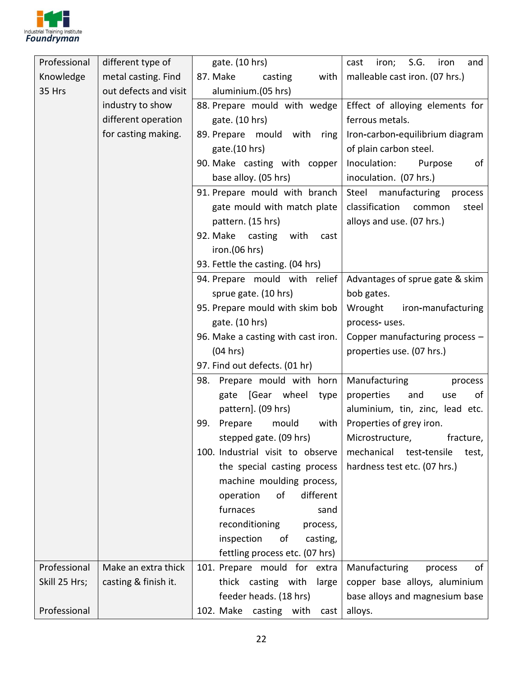

| Professional  | different type of     | gate. (10 hrs)                     | iron; S.G.<br>cast<br>iron<br>and   |
|---------------|-----------------------|------------------------------------|-------------------------------------|
| Knowledge     | metal casting. Find   | 87. Make<br>casting<br>with        | malleable cast iron. (07 hrs.)      |
| 35 Hrs        | out defects and visit | aluminium.(05 hrs)                 |                                     |
|               | industry to show      | 88. Prepare mould with wedge       | Effect of alloying elements for     |
|               | different operation   | gate. (10 hrs)                     | ferrous metals.                     |
|               | for casting making.   | 89. Prepare mould with ring        | Iron-carbon-equilibrium diagram     |
|               |                       | gate.(10 hrs)                      | of plain carbon steel.              |
|               |                       | 90. Make casting with copper       | Inoculation:<br>Purpose<br>of       |
|               |                       | base alloy. (05 hrs)               | inoculation. (07 hrs.)              |
|               |                       | 91. Prepare mould with branch      | Steel manufacturing process         |
|               |                       | gate mould with match plate        | classification<br>steel<br>common   |
|               |                       | pattern. (15 hrs)                  | alloys and use. (07 hrs.)           |
|               |                       | 92. Make casting<br>with<br>cast   |                                     |
|               |                       | iron.(06 hrs)                      |                                     |
|               |                       | 93. Fettle the casting. (04 hrs)   |                                     |
|               |                       | 94. Prepare mould with relief      | Advantages of sprue gate & skim     |
|               |                       | sprue gate. (10 hrs)               | bob gates.                          |
|               |                       | 95. Prepare mould with skim bob    | Wrought iron-manufacturing          |
|               |                       | gate. (10 hrs)                     | process-uses.                       |
|               |                       | 96. Make a casting with cast iron. | Copper manufacturing process -      |
|               |                       | (04 hrs)                           | properties use. (07 hrs.)           |
|               |                       | 97. Find out defects. (01 hr)      |                                     |
|               |                       | 98. Prepare mould with horn        | Manufacturing<br>process            |
|               |                       | gate [Gear wheel<br>type           | properties<br>of<br>and<br>use      |
|               |                       | pattern]. (09 hrs)                 | aluminium, tin, zinc, lead etc.     |
|               |                       | Prepare<br>mould<br>99.<br>with    | Properties of grey iron.            |
|               |                       | stepped gate. (09 hrs)             | Microstructure,<br>fracture,        |
|               |                       | 100. Industrial visit to observe   | mechanical<br>test-tensile<br>test, |
|               |                       | the special casting process        | hardness test etc. (07 hrs.)        |
|               |                       | machine moulding process,          |                                     |
|               |                       | of<br>different<br>operation       |                                     |
|               |                       | furnaces<br>sand                   |                                     |
|               |                       | reconditioning<br>process,         |                                     |
|               |                       | inspection<br>of<br>casting,       |                                     |
|               |                       | fettling process etc. (07 hrs)     |                                     |
| Professional  | Make an extra thick   | 101. Prepare mould for extra       | of<br>Manufacturing<br>process      |
| Skill 25 Hrs; | casting & finish it.  | thick casting with<br>large        | copper base alloys, aluminium       |
|               |                       | feeder heads. (18 hrs)             | base alloys and magnesium base      |
| Professional  |                       | 102. Make casting with<br>cast     | alloys.                             |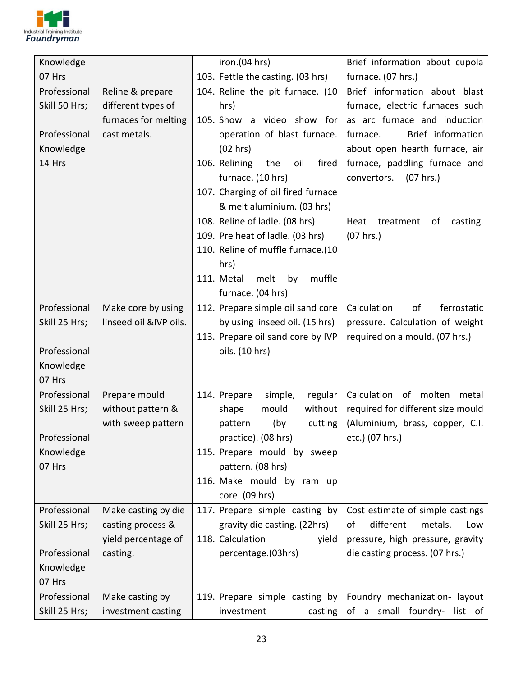

| Knowledge     |                        | iron.(04 hrs)                        | Brief information about cupola      |
|---------------|------------------------|--------------------------------------|-------------------------------------|
| 07 Hrs        |                        | 103. Fettle the casting. (03 hrs)    | furnace. (07 hrs.)                  |
| Professional  | Reline & prepare       | 104. Reline the pit furnace. (10     | Brief information about blast       |
| Skill 50 Hrs; | different types of     | hrs)                                 | furnace, electric furnaces such     |
|               | furnaces for melting   | 105. Show a video show for           | as arc furnace and induction        |
| Professional  | cast metals.           | operation of blast furnace.          | Brief information<br>furnace.       |
| Knowledge     |                        | (02 hrs)                             | about open hearth furnace, air      |
| 14 Hrs        |                        | 106. Relining<br>fired<br>the<br>oil | furnace, paddling furnace and       |
|               |                        | furnace. (10 hrs)                    | convertors.<br>(07 hrs.)            |
|               |                        | 107. Charging of oil fired furnace   |                                     |
|               |                        | & melt aluminium. (03 hrs)           |                                     |
|               |                        | 108. Reline of ladle. (08 hrs)       | of<br>Heat<br>treatment<br>casting. |
|               |                        | 109. Pre heat of ladle. (03 hrs)     | (07 hrs.)                           |
|               |                        | 110. Reline of muffle furnace.(10    |                                     |
|               |                        | hrs)                                 |                                     |
|               |                        | 111. Metal<br>melt<br>muffle<br>by   |                                     |
|               |                        | furnace. (04 hrs)                    |                                     |
| Professional  | Make core by using     | 112. Prepare simple oil sand core    | Calculation<br>of<br>ferrostatic    |
| Skill 25 Hrs; | linseed oil &IVP oils. | by using linseed oil. (15 hrs)       | pressure. Calculation of weight     |
|               |                        | 113. Prepare oil sand core by IVP    | required on a mould. (07 hrs.)      |
| Professional  |                        | oils. (10 hrs)                       |                                     |
| Knowledge     |                        |                                      |                                     |
| 07 Hrs        |                        |                                      |                                     |
| Professional  | Prepare mould          | 114. Prepare<br>simple,<br>regular   | Calculation of molten metal         |
| Skill 25 Hrs; | without pattern &      | without<br>shape<br>mould            | required for different size mould   |
|               | with sweep pattern     | (by<br>pattern<br>cutting            | (Aluminium, brass, copper, C.I.     |
| Professional  |                        | practice). (08 hrs)                  | etc.) (07 hrs.)                     |
| Knowledge     |                        | 115. Prepare mould by sweep          |                                     |
| 07 Hrs        |                        | pattern. (08 hrs)                    |                                     |
|               |                        | 116. Make mould by ram up            |                                     |
|               |                        | core. (09 hrs)                       |                                     |
| Professional  | Make casting by die    | 117. Prepare simple casting by       | Cost estimate of simple castings    |
| Skill 25 Hrs; | casting process &      | gravity die casting. (22hrs)         | different<br>of<br>metals.<br>Low   |
|               | yield percentage of    | 118. Calculation<br>yield            | pressure, high pressure, gravity    |
| Professional  | casting.               | percentage.(03hrs)                   | die casting process. (07 hrs.)      |
| Knowledge     |                        |                                      |                                     |
| 07 Hrs        |                        |                                      |                                     |
| Professional  | Make casting by        | 119. Prepare simple casting by       | Foundry mechanization- layout       |
| Skill 25 Hrs; | investment casting     | casting<br>investment                | of a small foundry- list of         |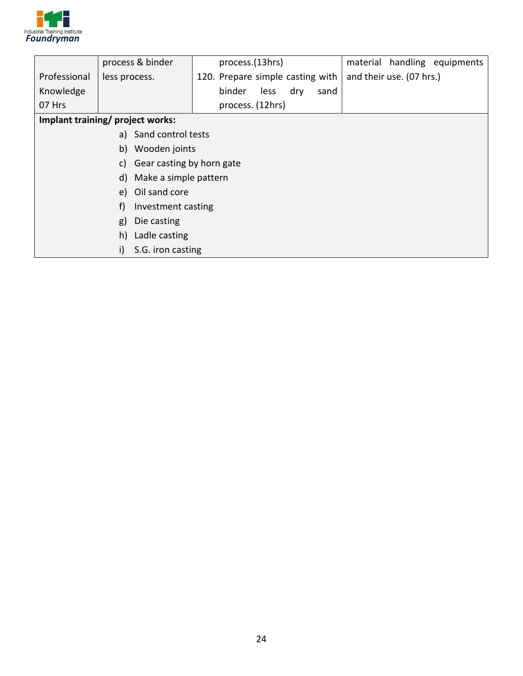

|                                  | process & binder                | process.(13hrs)                  | material handling equipments |  |
|----------------------------------|---------------------------------|----------------------------------|------------------------------|--|
| Professional                     | less process.                   | 120. Prepare simple casting with | and their use. (07 hrs.)     |  |
| Knowledge                        |                                 | binder<br>less<br>dry<br>sand    |                              |  |
| 07 Hrs                           |                                 | process. (12hrs)                 |                              |  |
| Implant training/ project works: |                                 |                                  |                              |  |
| a) Sand control tests            |                                 |                                  |                              |  |
| Wooden joints<br>b)              |                                 |                                  |                              |  |
|                                  | Gear casting by horn gate<br>C) |                                  |                              |  |
|                                  | d) Make a simple pattern        |                                  |                              |  |
|                                  | Oil sand core<br>e)             |                                  |                              |  |
| f)<br>Investment casting         |                                 |                                  |                              |  |
| Die casting<br>g)                |                                 |                                  |                              |  |
| Ladle casting<br>h)              |                                 |                                  |                              |  |
| i)<br>S.G. iron casting          |                                 |                                  |                              |  |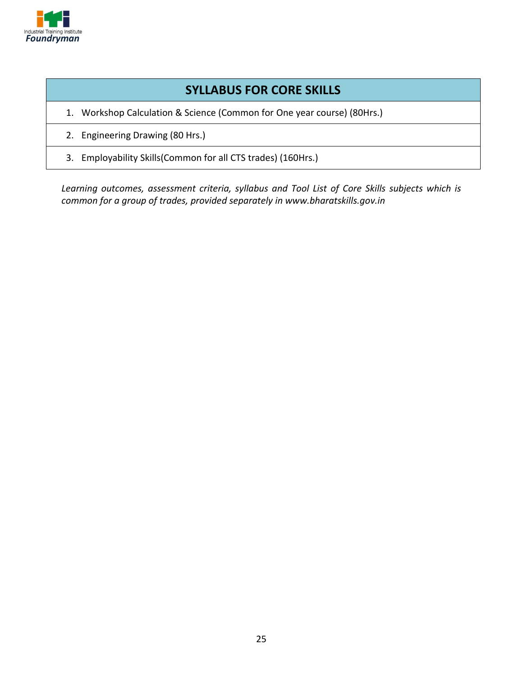

#### **SYLLABUS FOR CORE SKILLS**

- 1. Workshop Calculation & Science (Common for One year course) (80Hrs.)
- 2. Engineering Drawing (80 Hrs.)
- 3. Employability Skills(Common for all CTS trades) (160Hrs.)

*Learning outcomes, assessment criteria, syllabus and Tool List of Core Skills subjects which is common for a group of trades, provided separately in www.bharatskills.gov.in*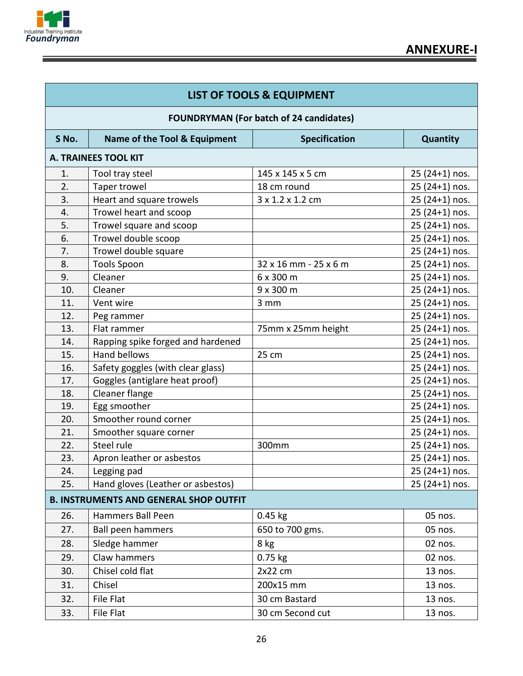

Ε

|       | <b>LIST OF TOOLS &amp; EQUIPMENT</b>           |                       |                 |  |  |
|-------|------------------------------------------------|-----------------------|-----------------|--|--|
|       | <b>FOUNDRYMAN (For batch of 24 candidates)</b> |                       |                 |  |  |
| S No. | Name of the Tool & Equipment                   | <b>Specification</b>  | <b>Quantity</b> |  |  |
|       | <b>A. TRAINEES TOOL KIT</b>                    |                       |                 |  |  |
| 1.    | Tool tray steel                                | 145 x 145 x 5 cm      | $25(24+1)$ nos. |  |  |
| 2.    | Taper trowel                                   | 18 cm round           | $25(24+1)$ nos. |  |  |
| 3.    | Heart and square trowels                       | 3 x 1.2 x 1.2 cm      | 25 (24+1) nos.  |  |  |
| 4.    | Trowel heart and scoop                         |                       | 25 (24+1) nos.  |  |  |
| 5.    | Trowel square and scoop                        |                       | 25 (24+1) nos.  |  |  |
| 6.    | Trowel double scoop                            |                       | 25 (24+1) nos.  |  |  |
| 7.    | Trowel double square                           |                       | 25 (24+1) nos.  |  |  |
| 8.    | <b>Tools Spoon</b>                             | 32 x 16 mm - 25 x 6 m | 25 (24+1) nos.  |  |  |
| 9.    | Cleaner                                        | 6 x 300 m             | 25 (24+1) nos.  |  |  |
| 10.   | Cleaner                                        | 9 x 300 m             | $25(24+1)$ nos. |  |  |
| 11.   | Vent wire                                      | 3 mm                  | 25 (24+1) nos.  |  |  |
| 12.   | Peg rammer                                     |                       | 25 (24+1) nos.  |  |  |
| 13.   | Flat rammer                                    | 75mm x 25mm height    | 25 (24+1) nos.  |  |  |
| 14.   | Rapping spike forged and hardened              |                       | 25 (24+1) nos.  |  |  |
| 15.   | <b>Hand bellows</b>                            | 25 cm                 | 25 (24+1) nos.  |  |  |
| 16.   | Safety goggles (with clear glass)              |                       | 25 (24+1) nos.  |  |  |
| 17.   | Goggles (antiglare heat proof)                 |                       | $25(24+1)$ nos. |  |  |
| 18.   | Cleaner flange                                 |                       | 25 (24+1) nos.  |  |  |
| 19.   | Egg smoother                                   |                       | 25 (24+1) nos.  |  |  |
| 20.   | Smoother round corner                          |                       | 25 (24+1) nos.  |  |  |
| 21.   | Smoother square corner                         |                       | $25(24+1)$ nos. |  |  |
| 22.   | Steel rule                                     | 300mm                 | 25 (24+1) nos.  |  |  |
| 23.   | Apron leather or asbestos                      |                       | 25 (24+1) nos.  |  |  |
| 24.   | Legging pad                                    |                       | 25 (24+1) nos.  |  |  |
| 25.   | Hand gloves (Leather or asbestos)              |                       | $25(24+1)$ nos. |  |  |
|       | <b>B. INSTRUMENTS AND GENERAL SHOP OUTFIT</b>  |                       |                 |  |  |
| 26.   | Hammers Ball Peen                              | $0.45$ kg             | 05 nos.         |  |  |
| 27.   | Ball peen hammers                              | 650 to 700 gms.       | 05 nos.         |  |  |
| 28.   | Sledge hammer                                  | 8 kg                  | 02 nos.         |  |  |
| 29.   | Claw hammers                                   | $0.75$ kg             | 02 nos.         |  |  |
| 30.   | Chisel cold flat                               | $2x22$ cm             | 13 nos.         |  |  |
| 31.   | Chisel                                         | 200x15 mm             | 13 nos.         |  |  |
| 32.   | File Flat                                      | 30 cm Bastard         | 13 nos.         |  |  |
| 33.   | File Flat                                      | 30 cm Second cut      | 13 nos.         |  |  |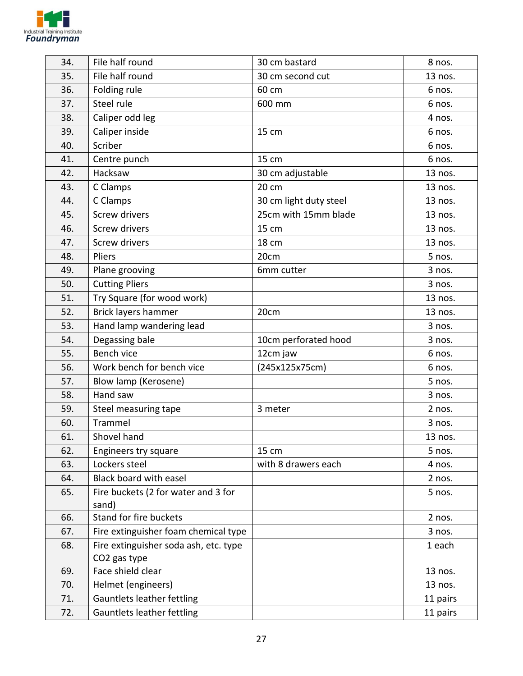

| 34. | File half round                              | 30 cm bastard          | 8 nos.   |
|-----|----------------------------------------------|------------------------|----------|
| 35. | File half round                              | 30 cm second cut       | 13 nos.  |
| 36. | Folding rule                                 | 60 cm                  | 6 nos.   |
| 37. | Steel rule                                   | 600 mm                 | 6 nos.   |
| 38. | Caliper odd leg                              |                        | 4 nos.   |
| 39. | Caliper inside                               | 15 cm                  | 6 nos.   |
| 40. | Scriber                                      |                        | 6 nos.   |
| 41. | Centre punch                                 | 15 cm                  | 6 nos.   |
| 42. | Hacksaw                                      | 30 cm adjustable       | 13 nos.  |
| 43. | C Clamps                                     | 20 cm                  | 13 nos.  |
| 44. | C Clamps                                     | 30 cm light duty steel | 13 nos.  |
| 45. | <b>Screw drivers</b>                         | 25cm with 15mm blade   | 13 nos.  |
| 46. | <b>Screw drivers</b>                         | 15 cm                  | 13 nos.  |
| 47. | <b>Screw drivers</b>                         | <b>18 cm</b>           | 13 nos.  |
| 48. | Pliers                                       | 20cm                   | 5 nos.   |
| 49. | Plane grooving                               | 6mm cutter             | 3 nos.   |
| 50. | <b>Cutting Pliers</b>                        |                        | 3 nos.   |
| 51. | Try Square (for wood work)                   |                        | 13 nos.  |
| 52. | Brick layers hammer                          | 20cm                   | 13 nos.  |
| 53. | Hand lamp wandering lead                     |                        | 3 nos.   |
| 54. | Degassing bale                               | 10cm perforated hood   | 3 nos.   |
| 55. | Bench vice                                   | 12cm jaw               | 6 nos.   |
| 56. | Work bench for bench vice                    | (245x125x75cm)         | 6 nos.   |
| 57. | Blow lamp (Kerosene)                         |                        | 5 nos.   |
| 58. | Hand saw                                     |                        | 3 nos.   |
| 59. | Steel measuring tape                         | 3 meter                | 2 nos.   |
| 60. | Trammel                                      |                        | 3 nos.   |
| 61. | Shovel hand                                  |                        | 13 nos.  |
| 62. | Engineers try square                         | 15 cm                  | 5 nos.   |
| 63. | Lockers steel                                | with 8 drawers each    | 4 nos.   |
| 64. | Black board with easel                       |                        | 2 nos.   |
| 65. | Fire buckets (2 for water and 3 for<br>sand) |                        | 5 nos.   |
| 66. | Stand for fire buckets                       |                        | 2 nos.   |
| 67. | Fire extinguisher foam chemical type         |                        | 3 nos.   |
| 68. | Fire extinguisher soda ash, etc. type        |                        | 1 each   |
|     | CO2 gas type                                 |                        |          |
| 69. | Face shield clear                            |                        | 13 nos.  |
| 70. | Helmet (engineers)                           |                        | 13 nos.  |
| 71. | Gauntlets leather fettling                   |                        | 11 pairs |
| 72. | Gauntlets leather fettling                   |                        | 11 pairs |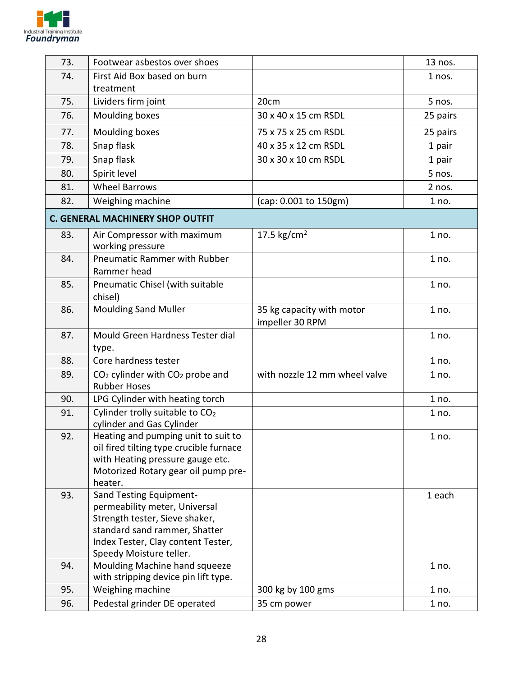

| 73. | Footwear asbestos over shoes                                                   |                               | 13 nos.  |
|-----|--------------------------------------------------------------------------------|-------------------------------|----------|
| 74. | First Aid Box based on burn                                                    |                               | 1 nos.   |
|     | treatment                                                                      |                               |          |
| 75. | Lividers firm joint                                                            | 20cm                          | 5 nos.   |
| 76. | Moulding boxes                                                                 | 30 x 40 x 15 cm RSDL          | 25 pairs |
| 77. | Moulding boxes                                                                 | 75 x 75 x 25 cm RSDL          | 25 pairs |
| 78. | Snap flask                                                                     | 40 x 35 x 12 cm RSDL          | 1 pair   |
| 79. | Snap flask                                                                     | 30 x 30 x 10 cm RSDL          | 1 pair   |
| 80. | Spirit level                                                                   |                               | 5 nos.   |
| 81. | <b>Wheel Barrows</b>                                                           |                               | 2 nos.   |
| 82. | Weighing machine                                                               | (cap: 0.001 to 150gm)         | 1 no.    |
|     | <b>C. GENERAL MACHINERY SHOP OUTFIT</b>                                        |                               |          |
| 83. | Air Compressor with maximum                                                    | 17.5 $\text{kg/cm}^2$         | 1 no.    |
| 84. | working pressure<br><b>Pneumatic Rammer with Rubber</b>                        |                               | 1 no.    |
|     | Rammer head                                                                    |                               |          |
| 85. | Pneumatic Chisel (with suitable                                                |                               | 1 no.    |
|     | chisel)                                                                        |                               |          |
| 86. | <b>Moulding Sand Muller</b>                                                    | 35 kg capacity with motor     | 1 no.    |
|     |                                                                                | impeller 30 RPM               |          |
| 87. | Mould Green Hardness Tester dial                                               |                               | 1 no.    |
|     | type.                                                                          |                               |          |
| 88. | Core hardness tester                                                           |                               | 1 no.    |
| 89. | CO <sub>2</sub> cylinder with CO <sub>2</sub> probe and<br><b>Rubber Hoses</b> | with nozzle 12 mm wheel valve | 1 no.    |
| 90. | LPG Cylinder with heating torch                                                |                               | 1 no.    |
| 91. | Cylinder trolly suitable to CO <sub>2</sub><br>cylinder and Gas Cylinder       |                               | 1 no.    |
| 92. | Heating and pumping unit to suit to                                            |                               | 1 no.    |
|     | oil fired tilting type crucible furnace                                        |                               |          |
|     | with Heating pressure gauge etc.                                               |                               |          |
|     | Motorized Rotary gear oil pump pre-                                            |                               |          |
|     | heater.<br>Sand Testing Equipment-                                             |                               |          |
| 93. | permeability meter, Universal                                                  |                               | 1 each   |
|     | Strength tester, Sieve shaker,                                                 |                               |          |
|     | standard sand rammer, Shatter                                                  |                               |          |
|     | Index Tester, Clay content Tester,                                             |                               |          |
|     | Speedy Moisture teller.                                                        |                               |          |
| 94. | Moulding Machine hand squeeze<br>with stripping device pin lift type.          |                               | 1 no.    |
| 95. | Weighing machine                                                               | 300 kg by 100 gms             | 1 no.    |
| 96. | Pedestal grinder DE operated                                                   | 35 cm power                   | 1 no.    |
|     |                                                                                |                               |          |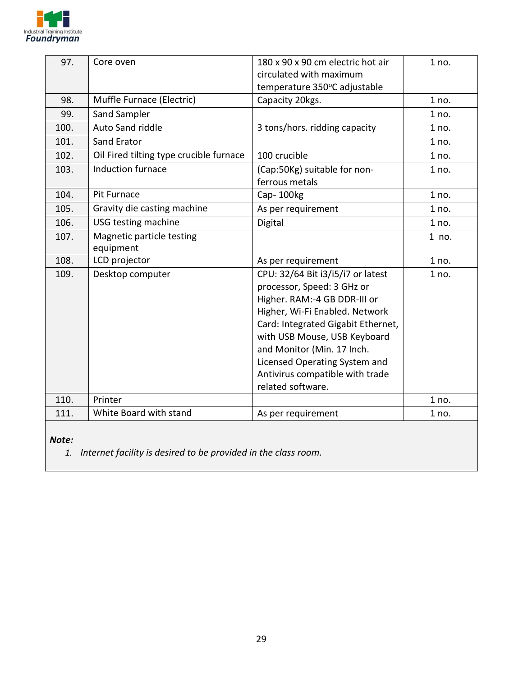

| 97.   | Core oven                               | 180 x 90 x 90 cm electric hot air              | 1 no. |
|-------|-----------------------------------------|------------------------------------------------|-------|
|       |                                         | circulated with maximum                        |       |
|       |                                         | temperature 350°C adjustable                   |       |
| 98.   | Muffle Furnace (Electric)               | Capacity 20kgs.                                | 1 no. |
| 99.   | Sand Sampler                            |                                                | 1 no. |
| 100.  | Auto Sand riddle                        | 3 tons/hors. ridding capacity                  | 1 no. |
| 101.  | Sand Erator                             |                                                | 1 no. |
| 102.  | Oil Fired tilting type crucible furnace | 100 crucible                                   | 1 no. |
| 103.  | Induction furnace                       | (Cap:50Kg) suitable for non-<br>ferrous metals | 1 no. |
| 104.  | Pit Furnace                             | Cap-100kg                                      | 1 no. |
| 105.  | Gravity die casting machine             | As per requirement                             | 1 no. |
| 106.  | USG testing machine                     | Digital                                        | 1 no. |
| 107.  | Magnetic particle testing<br>equipment  |                                                | 1 no. |
| 108.  | LCD projector                           | As per requirement                             | 1 no. |
| 109.  | Desktop computer                        | CPU: 32/64 Bit i3/i5/i7 or latest              | 1 no. |
|       |                                         | processor, Speed: 3 GHz or                     |       |
|       |                                         | Higher. RAM:-4 GB DDR-III or                   |       |
|       |                                         | Higher, Wi-Fi Enabled. Network                 |       |
|       |                                         | Card: Integrated Gigabit Ethernet,             |       |
|       |                                         | with USB Mouse, USB Keyboard                   |       |
|       |                                         | and Monitor (Min. 17 Inch.                     |       |
|       |                                         | Licensed Operating System and                  |       |
|       |                                         | Antivirus compatible with trade                |       |
| 110.  | Printer                                 | related software.                              | 1 no. |
| 111.  | White Board with stand                  |                                                |       |
|       |                                         | As per requirement                             | 1 no. |
| Note: |                                         |                                                |       |

*1. Internet facility is desired to be provided in the class room.*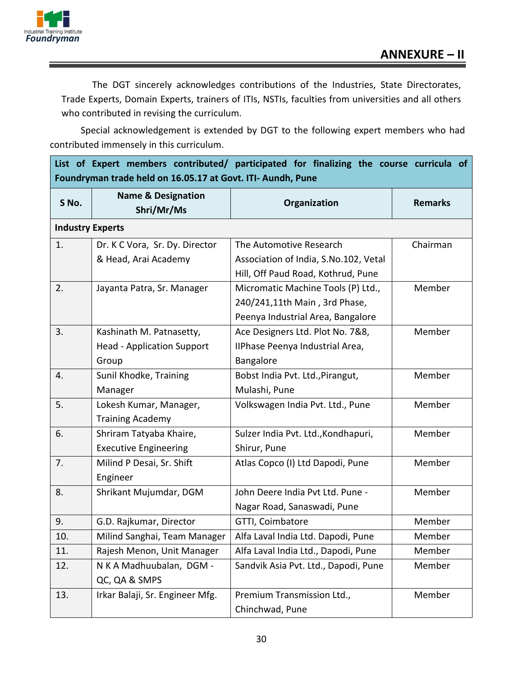

The DGT sincerely acknowledges contributions of the Industries, State Directorates, Trade Experts, Domain Experts, trainers of ITIs, NSTIs, faculties from universities and all others who contributed in revising the curriculum.

Special acknowledgement is extended by DGT to the following expert members who had contributed immensely in this curriculum.

**List of Expert members contributed/ participated for finalizing the course curricula of Foundryman trade held on 16.05.17 at Govt. ITI- Aundh, Pune**

| S No. | <b>Name &amp; Designation</b><br>Shri/Mr/Ms | Organization                          | <b>Remarks</b> |  |
|-------|---------------------------------------------|---------------------------------------|----------------|--|
|       | <b>Industry Experts</b>                     |                                       |                |  |
| 1.    | Dr. K C Vora, Sr. Dy. Director              | The Automotive Research               | Chairman       |  |
|       | & Head, Arai Academy                        | Association of India, S.No.102, Vetal |                |  |
|       |                                             | Hill, Off Paud Road, Kothrud, Pune    |                |  |
| 2.    | Jayanta Patra, Sr. Manager                  | Micromatic Machine Tools (P) Ltd.,    | Member         |  |
|       |                                             | 240/241,11th Main, 3rd Phase,         |                |  |
|       |                                             | Peenya Industrial Area, Bangalore     |                |  |
| 3.    | Kashinath M. Patnasetty,                    | Ace Designers Ltd. Plot No. 7&8,      | Member         |  |
|       | <b>Head - Application Support</b>           | IIPhase Peenya Industrial Area,       |                |  |
|       | Group                                       | Bangalore                             |                |  |
| 4.    | Sunil Khodke, Training                      | Bobst India Pvt. Ltd., Pirangut,      | Member         |  |
|       | Manager                                     | Mulashi, Pune                         |                |  |
| 5.    | Lokesh Kumar, Manager,                      | Volkswagen India Pvt. Ltd., Pune      | Member         |  |
|       | <b>Training Academy</b>                     |                                       |                |  |
| 6.    | Shriram Tatyaba Khaire,                     | Sulzer India Pvt. Ltd., Kondhapuri,   | Member         |  |
|       | <b>Executive Engineering</b>                | Shirur, Pune                          |                |  |
| 7.    | Milind P Desai, Sr. Shift                   | Atlas Copco (I) Ltd Dapodi, Pune      | Member         |  |
|       | Engineer                                    |                                       |                |  |
| 8.    | Shrikant Mujumdar, DGM                      | John Deere India Pvt Ltd. Pune -      | Member         |  |
|       |                                             | Nagar Road, Sanaswadi, Pune           |                |  |
| 9.    | G.D. Rajkumar, Director                     | GTTI, Coimbatore                      | Member         |  |
| 10.   | Milind Sanghai, Team Manager                | Alfa Laval India Ltd. Dapodi, Pune    | Member         |  |
| 11.   | Rajesh Menon, Unit Manager                  | Alfa Laval India Ltd., Dapodi, Pune   | Member         |  |
| 12.   | N K A Madhuubalan, DGM -                    | Sandvik Asia Pvt. Ltd., Dapodi, Pune  | Member         |  |
|       | QC, QA & SMPS                               |                                       |                |  |
| 13.   | Irkar Balaji, Sr. Engineer Mfg.             | Premium Transmission Ltd.,            | Member         |  |
|       |                                             | Chinchwad, Pune                       |                |  |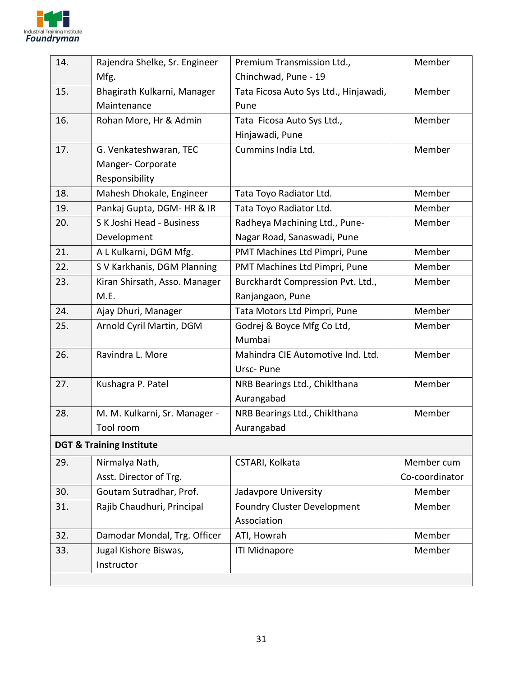

| 14. | Rajendra Shelke, Sr. Engineer       | Premium Transmission Ltd.,            | Member         |
|-----|-------------------------------------|---------------------------------------|----------------|
|     | Mfg.                                | Chinchwad, Pune - 19                  |                |
| 15. | Bhagirath Kulkarni, Manager         | Tata Ficosa Auto Sys Ltd., Hinjawadi, | Member         |
|     | Maintenance                         | Pune                                  |                |
| 16. | Rohan More, Hr & Admin              | Tata Ficosa Auto Sys Ltd.,            | Member         |
|     |                                     | Hinjawadi, Pune                       |                |
| 17. | G. Venkateshwaran, TEC              | Cummins India Ltd.                    | Member         |
|     | Manger- Corporate                   |                                       |                |
|     | Responsibility                      |                                       |                |
| 18. | Mahesh Dhokale, Engineer            | Tata Toyo Radiator Ltd.               | Member         |
| 19. | Pankaj Gupta, DGM- HR & IR          | Tata Toyo Radiator Ltd.               | Member         |
| 20. | S K Joshi Head - Business           | Radheya Machining Ltd., Pune-         | Member         |
|     | Development                         | Nagar Road, Sanaswadi, Pune           |                |
| 21. | A L Kulkarni, DGM Mfg.              | PMT Machines Ltd Pimpri, Pune         | Member         |
| 22. | S V Karkhanis, DGM Planning         | PMT Machines Ltd Pimpri, Pune         | Member         |
| 23. | Kiran Shirsath, Asso. Manager       | Burckhardt Compression Pvt. Ltd.,     | Member         |
|     | M.E.                                | Ranjangaon, Pune                      |                |
| 24. | Ajay Dhuri, Manager                 | Tata Motors Ltd Pimpri, Pune          | Member         |
| 25. | Arnold Cyril Martin, DGM            | Godrej & Boyce Mfg Co Ltd,            | Member         |
|     |                                     | Mumbai                                |                |
| 26. | Ravindra L. More                    | Mahindra CIE Automotive Ind. Ltd.     | Member         |
|     |                                     | Ursc-Pune                             |                |
| 27. | Kushagra P. Patel                   | NRB Bearings Ltd., Chiklthana         | Member         |
|     |                                     | Aurangabad                            |                |
| 28. | M. M. Kulkarni, Sr. Manager -       | NRB Bearings Ltd., Chiklthana         | Member         |
|     | Tool room                           | Aurangabad                            |                |
|     | <b>DGT &amp; Training Institute</b> |                                       |                |
| 29. | Nirmalya Nath,                      | CSTARI, Kolkata                       | Member cum     |
|     | Asst. Director of Trg.              |                                       | Co-coordinator |
| 30. | Goutam Sutradhar, Prof.             | Jadavpore University                  | Member         |
| 31. | Rajib Chaudhuri, Principal          | <b>Foundry Cluster Development</b>    | Member         |
|     |                                     | Association                           |                |
| 32. | Damodar Mondal, Trg. Officer        | ATI, Howrah                           | Member         |
| 33. | Jugal Kishore Biswas,               | <b>ITI Midnapore</b>                  | Member         |
|     | Instructor                          |                                       |                |
|     |                                     |                                       |                |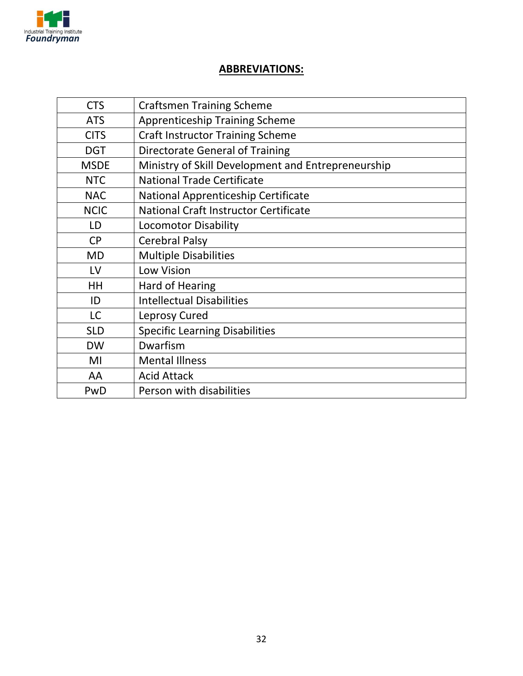

#### **ABBREVIATIONS:**

| <b>CTS</b>  | <b>Craftsmen Training Scheme</b>                   |
|-------------|----------------------------------------------------|
| <b>ATS</b>  | <b>Apprenticeship Training Scheme</b>              |
| <b>CITS</b> | <b>Craft Instructor Training Scheme</b>            |
| <b>DGT</b>  | <b>Directorate General of Training</b>             |
| <b>MSDE</b> | Ministry of Skill Development and Entrepreneurship |
| <b>NTC</b>  | <b>National Trade Certificate</b>                  |
| <b>NAC</b>  | National Apprenticeship Certificate                |
| <b>NCIC</b> | <b>National Craft Instructor Certificate</b>       |
| LD          | <b>Locomotor Disability</b>                        |
| <b>CP</b>   | <b>Cerebral Palsy</b>                              |
| <b>MD</b>   | <b>Multiple Disabilities</b>                       |
| LV          | <b>Low Vision</b>                                  |
| HH          | <b>Hard of Hearing</b>                             |
| ID          | <b>Intellectual Disabilities</b>                   |
| LC          | Leprosy Cured                                      |
| <b>SLD</b>  | <b>Specific Learning Disabilities</b>              |
| <b>DW</b>   | Dwarfism                                           |
| MI          | <b>Mental Illness</b>                              |
| AA          | <b>Acid Attack</b>                                 |
| PwD         | Person with disabilities                           |